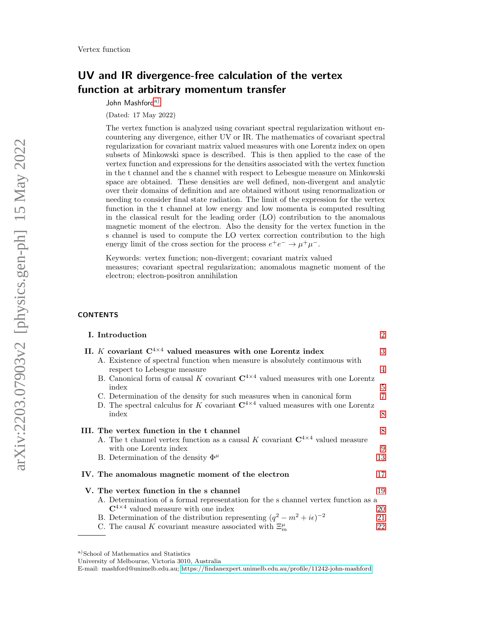# UV and IR divergence-free calculation of the vertex function at arbitrary momentum transfer

John Mashford[a\)](#page-0-0)

(Dated: 17 May 2022)

The vertex function is analyzed using covariant spectral regularization without encountering any divergence, either UV or IR. The mathematics of covariant spectral regularization for covariant matrix valued measures with one Lorentz index on open subsets of Minkowski space is described. This is then applied to the case of the vertex function and expressions for the densities associated with the vertex function in the t channel and the s channel with respect to Lebesgue measure on Minkowski space are obtained. These densities are well defined, non-divergent and analytic over their domains of definition and are obtained without using renormalization or needing to consider final state radiation. The limit of the expression for the vertex function in the t channel at low energy and low momenta is computed resulting in the classical result for the leading order (LO) contribution to the anomalous magnetic moment of the electron. Also the density for the vertex function in the s channel is used to compute the LO vertex correction contribution to the high energy limit of the cross section for the process  $e^+e^- \to \mu^+\mu^-$ .

Keywords: vertex function; non-divergent; covariant matrix valued measures; covariant spectral regularization; anomalous magnetic moment of the electron; electron-positron annihilation

#### **CONTENTS**

| I. Introduction                                                                                                                                                                | $\overline{2}$ |
|--------------------------------------------------------------------------------------------------------------------------------------------------------------------------------|----------------|
| II. <i>K</i> covariant $C^{4\times 4}$ valued measures with one Lorentz index<br>A. Existence of spectral function when measure is absolutely continuous with                  | 3              |
| respect to Lebesgue measure                                                                                                                                                    | $\overline{4}$ |
| B. Canonical form of causal K covariant $C^{4\times 4}$ valued measures with one Lorentz<br>index                                                                              | 5              |
| C. Determination of the density for such measures when in canonical form<br>D. The spectral calculus for K covariant $\mathbb{C}^{4\times 4}$ valued measures with one Lorentz | 7              |
| index                                                                                                                                                                          | 8              |
| III. The vertex function in the t channel                                                                                                                                      | 8              |
| A. The t channel vertex function as a causal K covariant $C^{4\times 4}$ valued measure<br>with one Lorentz index                                                              | 9              |
| B. Determination of the density $\Phi^{\mu}$                                                                                                                                   | 13             |
| IV. The anomalous magnetic moment of the electron                                                                                                                              | 17             |
| V. The vertex function in the s channel                                                                                                                                        | 19             |
| A. Determination of a formal representation for the s channel vertex function as a                                                                                             |                |
| $\mathbb{C}^{4\times 4}$ valued measure with one index                                                                                                                         | 20             |
| B. Determination of the distribution representing $(q^2 - m^2 + i\epsilon)^{-2}$<br>C. The causal K covariant measure associated with $\Xi_m^{\mu}$                            | 21<br>22       |
|                                                                                                                                                                                |                |

E-mail: mashford@unimelb.edu.au;<https://findanexpert.unimelb.edu.au/profile/11242-john-mashford>

<span id="page-0-0"></span>a)School of Mathematics and Statistics

University of Melbourne, Victoria 3010, Australia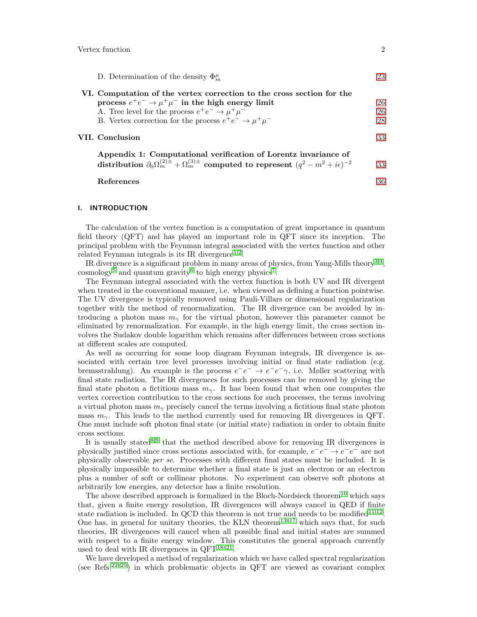| D. Determination of the density $\Phi_m^{\mu}$                                                                                                                                          | 23 |
|-----------------------------------------------------------------------------------------------------------------------------------------------------------------------------------------|----|
| VI. Computation of the vertex correction to the cross section for the<br>process $e^+e^- \rightarrow \mu^+\mu^-$ in the high energy limit                                               | 26 |
| A. Tree level for the process $e^+e^- \rightarrow \mu^+\mu^-$                                                                                                                           | 26 |
| B. Vertex correction for the process $e^+e^- \rightarrow \mu^+\mu^-$                                                                                                                    | 28 |
| VII. Conclusion                                                                                                                                                                         | 33 |
| Appendix 1: Computational verification of Lorentz invariance of<br>distribution $\partial_0 \Omega_m^{(2)\pm} + \Omega_m^{(3)\pm}$ computed to represent $(q^2 - m^2 + i\epsilon)^{-2}$ | 33 |

References [36](#page-35-0)

#### <span id="page-1-0"></span>I. INTRODUCTION

The calculation of the vertex function is a computation of great importance in quantum field theory (QFT) and has played an important role in QFT since its inception. The principal problem with the Feynman integral associated with the vertex function and other related Feynman integrals is its IR divergence<sup>[1](#page-35-1)[,2](#page-35-2)</sup>.

IR divergence is a significant problem in many areas of physics, from Yang-Mills theory<sup>[3](#page-35-3)[,4](#page-35-4)</sup>,  $\cosmology^5$  $\cosmology^5$  and quantum gravity<sup>[6](#page-35-6)</sup> to high energy physics<sup>[7](#page-35-7)</sup>.

The Feynman integral associated with the vertex function is both UV and IR divergent when treated in the conventional manner, i.e. when viewed as defining a function pointwise. The UV divergence is typically removed using Pauli-Villars or dimensional regularization together with the method of renormalization. The IR divergence can be avoided by introducing a photon mass  $m_{\gamma}$  for the virtual photon, however this parameter cannot be eliminated by renormalization. For example, in the high energy limit, the cross section involves the Sudakov double logarithm which remains after differences between cross sections at different scales are computed.

As well as occurring for some loop diagram Feynman integrals, IR divergence is associated with certain tree level processes involving initial or final state radiation (e.g. bremsstrahlung). An example is the process  $e^-e^- \rightarrow e^-e^- \gamma$ , i.e. Møller scattering with final state radiation. The IR divergences for such processes can be removed by giving the final state photon a fictitious mass  $m_{\gamma}$ . It has been found that when one computes the vertex correction contribution to the cross sections for such processes, the terms involving a virtual photon mass  $m_{\gamma}$  precisely cancel the terms involving a fictitious final state photon mass  $m_{\gamma}$ . This leads to the method currently used for removing IR divergences in QFT. One must include soft photon final state (or initial state) radiation in order to obtain finite cross sections.

It is usually stated<sup>[8,](#page-35-8)[9](#page-35-9)</sup> that the method described above for removing IR divergences is physically justified since cross sections associated with, for example,  $e^-e^- \rightarrow e^-e^-$  are not physically observable per se. Processes with different final states must be included. It is physically impossible to determine whether a final state is just an electron or an electron plus a number of soft or collinear photons. No experiment can observe soft photons at arbitrarily low energies, any detector has a finite resolution.

The above described approach is formalized in the Bloch-Nordsieck theorem<sup>[10](#page-35-10)</sup> which says that, given a finite energy resolution, IR divergences will always cancel in QED if finite state radiation is included. In QCD this theorem is not true and needs to be modified  $11,12$  $11,12$ . One has, in general for unitary theories, the KLN theorem<sup>[13–](#page-35-13)[17](#page-35-14)</sup> which says that, for such theories, IR divergences will cancel when all possible final and initial states are summed with respect to a finite energy window. This constitutes the general approach currently used to deal with IR divergences in  $QFT^{18-21}$  $QFT^{18-21}$  $QFT^{18-21}$ .

We have developed a method of regularization which we have called spectral regularization (see Refs.<sup>[22–](#page-35-17)[25](#page-35-18)</sup>) in which problematic objects in QFT are viewed as covariant complex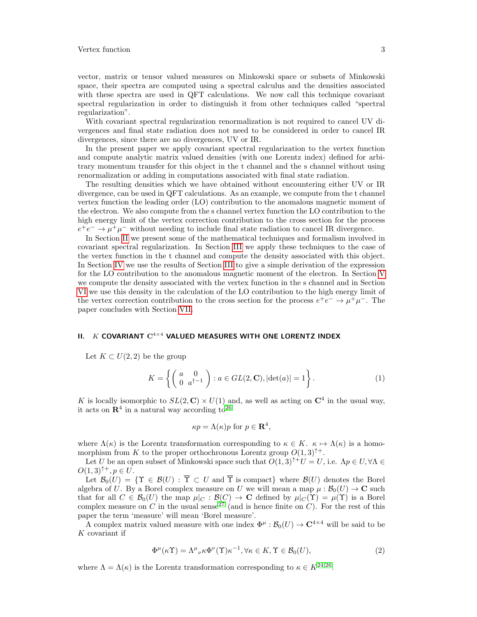vector, matrix or tensor valued measures on Minkowski space or subsets of Minkowski space, their spectra are computed using a spectral calculus and the densities associated with these spectra are used in QFT calculations. We now call this technique covariant spectral regularization in order to distinguish it from other techniques called "spectral regularization".

With covariant spectral regularization renormalization is not required to cancel UV divergences and final state radiation does not need to be considered in order to cancel IR divergences, since there are no divergences, UV or IR.

In the present paper we apply covariant spectral regularization to the vertex function and compute analytic matrix valued densities (with one Lorentz index) defined for arbitrary momentum transfer for this object in the t channel and the s channel without using renormalization or adding in computations associated with final state radiation.

The resulting densities which we have obtained without encountering either UV or IR divergence, can be used in QFT calculations. As an example, we compute from the t channel vertex function the leading order (LO) contribution to the anomalous magnetic moment of the electron. We also compute from the s channel vertex function the LO contribution to the high energy limit of the vertex correction contribution to the cross section for the process  $e^+e^- \rightarrow \mu^+\mu^-$  without needing to include final state radiation to cancel IR divergence.

In Section [II](#page-2-0) we present some of the mathematical techniques and formalism involved in covariant spectral regularization. In Section [III](#page-7-1) we apply these techniques to the case of the vertex function in the t channel and compute the density associated with this object. In Section [IV](#page-16-0) we use the results of Section [III](#page-7-1) to give a simple derivation of the expression for the LO contribution to the anomalous magnetic moment of the electron. In Section [V](#page-18-0) we compute the density associated with the vertex function in the s channel and in Section [VI](#page-25-0) we use this density in the calculation of the LO contribution to the high energy limit of the vertex correction contribution to the cross section for the process  $e^+e^- \to \mu^+\mu^-$ . The paper concludes with Section [VII.](#page-32-0)

# <span id="page-2-0"></span>II.  $K$  COVARIANT  $C^{4\times 4}$  VALUED MEASURES WITH ONE LORENTZ INDEX

Let  $K \subset U(2,2)$  be the group

$$
K = \left\{ \left( \begin{array}{cc} a & 0 \\ 0 & a^{\dagger - 1} \end{array} \right) : a \in GL(2, \mathbf{C}), |\det(a)| = 1 \right\}.
$$
\n<sup>(1)</sup>

K is locally isomorphic to  $SL(2, \mathbb{C}) \times U(1)$  and, as well as acting on  $\mathbb{C}^4$  in the usual way, it acts on  $\mathbb{R}^4$  in a natural way according to  $2^6$ 

$$
\kappa p = \Lambda(\kappa)p \text{ for } p \in \mathbf{R}^4,
$$

where  $\Lambda(\kappa)$  is the Lorentz transformation corresponding to  $\kappa \in K$ .  $\kappa \mapsto \Lambda(\kappa)$  is a homomorphism from K to the proper orthochronous Lorentz group  $O(1,3)^{\uparrow+}$ .

Let U be an open subset of Minkowski space such that  $O(1,3)^{\uparrow+}U = U$ , i.e.  $\Lambda p \in U, \forall \Lambda \in$  $O(1, 3)^{\uparrow +}$ ,  $p \in U$ .

Let  $\mathcal{B}_0(U) = \{ \Upsilon \in \mathcal{B}(U) : \overline{\Upsilon} \subset U \text{ and } \overline{\Upsilon} \text{ is compact} \}$  where  $\mathcal{B}(U)$  denotes the Borel algebra of U. By a Borel complex measure on U we will mean a map  $\mu : \mathcal{B}_0(U) \to \mathbb{C}$  such that for all  $C \in \mathcal{B}_0(U)$  the map  $\mu|_C : \mathcal{B}(C) \to \mathbf{C}$  defined by  $\mu|_C(\Upsilon) = \mu(\Upsilon)$  is a Borel complex measure on C in the usual sense<sup>[27](#page-35-20)</sup> (and is hence finite on C). For the rest of this paper the term 'measure' will mean 'Borel measure'.

A complex matrix valued measure with one index  $\Phi^{\mu} : \mathcal{B}_0(U) \to \mathbb{C}^{4 \times 4}$  will be said to be  $K$  covariant if

<span id="page-2-1"></span>
$$
\Phi^{\mu}(\kappa \Upsilon) = \Lambda^{\mu}{}_{\nu} \kappa \Phi^{\nu}(\Upsilon) \kappa^{-1}, \forall \kappa \in K, \Upsilon \in \mathcal{B}_0(U), \tag{2}
$$

where  $\Lambda = \Lambda(\kappa)$  is the Lorentz transformation corresponding to  $\kappa \in K^{24,26}$  $\kappa \in K^{24,26}$  $\kappa \in K^{24,26}$  $\kappa \in K^{24,26}$ .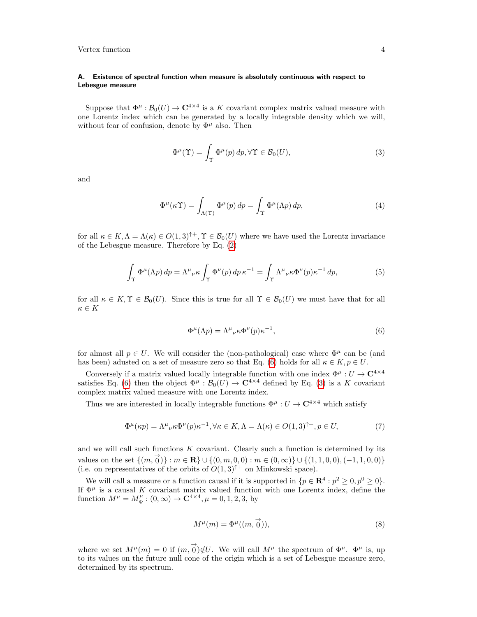#### <span id="page-3-0"></span>A. Existence of spectral function when measure is absolutely continuous with respect to Lebesgue measure

Suppose that  $\Phi^{\mu}: \mathcal{B}_0(U) \to \mathbf{C}^{4 \times 4}$  is a K covariant complex matrix valued measure with one Lorentz index which can be generated by a locally integrable density which we will, without fear of confusion, denote by  $\Phi^{\mu}$  also. Then

<span id="page-3-2"></span>
$$
\Phi^{\mu}(\Upsilon) = \int_{\Upsilon} \Phi^{\mu}(p) dp, \forall \Upsilon \in \mathcal{B}_0(U), \tag{3}
$$

and

$$
\Phi^{\mu}(\kappa \Upsilon) = \int_{\Lambda(\Upsilon)} \Phi^{\mu}(p) dp = \int_{\Upsilon} \Phi^{\mu}(\Lambda p) dp, \tag{4}
$$

for all  $\kappa \in K, \Lambda = \Lambda(\kappa) \in O(1,3)^{+}, \Upsilon \in \mathcal{B}_0(U)$  where we have used the Lorentz invariance of the Lebesgue measure. Therefore by Eq. [\(2\)](#page-2-1)

$$
\int_{\Upsilon} \Phi^{\mu}(\Lambda p) dp = \Lambda^{\mu}{}_{\nu} \kappa \int_{\Upsilon} \Phi^{\nu}(p) dp \kappa^{-1} = \int_{\Upsilon} \Lambda^{\mu}{}_{\nu} \kappa \Phi^{\nu}(p) \kappa^{-1} dp, \tag{5}
$$

for all  $\kappa \in K$ ,  $\Upsilon \in \mathcal{B}_0(U)$ . Since this is true for all  $\Upsilon \in \mathcal{B}_0(U)$  we must have that for all  $\kappa \in K$ 

<span id="page-3-1"></span>
$$
\Phi^{\mu}(\Lambda p) = \Lambda^{\mu}{}_{\nu} \kappa \Phi^{\nu}(p) \kappa^{-1},\tag{6}
$$

for almost all  $p \in U$ . We will consider the (non-pathological) case where  $\Phi^{\mu}$  can be (and has been) adusted on a set of measure zero so that Eq. [\(6\)](#page-3-1) holds for all  $\kappa \in K, p \in U$ .

Conversely if a matrix valued locally integrable function with one index  $\Phi^\mu:U\to{\bf C}^{4\times4}$ satisfies Eq. [\(6\)](#page-3-1) then the object  $\Phi^{\mu}: \mathcal{B}_0(U) \to \mathbf{C}^{4 \times 4}$  defined by Eq. [\(3\)](#page-3-2) is a K covariant complex matrix valued measure with one Lorentz index.

Thus we are interested in locally integrable functions  $\Phi^{\mu}: U \to \mathbb{C}^{4 \times 4}$  which satisfy

$$
\Phi^{\mu}(\kappa p) = \Lambda^{\mu}{}_{\nu} \kappa \Phi^{\nu}(p) \kappa^{-1}, \forall \kappa \in K, \Lambda = \Lambda(\kappa) \in O(1,3)^{\uparrow +}, p \in U,
$$
\n(7)

and we will call such functions  $K$  covariant. Clearly such a function is determined by its values on the set  $\{(m, \vec{0})\} : m \in \mathbf{R}\} \cup \{(0, m, 0, 0) : m \in (0, \infty)\} \cup \{(1, 1, 0, 0), (-1, 1, 0, 0)\}$ (i.e. on representatives of the orbits of  $O(1,3)^{\uparrow+}$  on Minkowski space).

We will call a measure or a function causal if it is supported in  $\{p \in \mathbf{R}^4 : p^2 \geq 0, p^0 \geq 0\}.$ If  $\Phi^{\mu}$  is a causal K covariant matrix valued function with one Lorentz index, define the function  $M^{\mu} = M^{\mu}_{\Phi} : (0, \infty) \to \mathbf{C}^{4 \times 4}, \mu = 0, 1, 2, 3$ , by

$$
M^{\mu}(m) = \Phi^{\mu}((m, \overrightarrow{0})), \tag{8}
$$

where we set  $M^{\mu}(m) = 0$  if  $(m, 0) \notin U$ . We will call  $M^{\mu}$  the spectrum of  $\Phi^{\mu}$ .  $\Phi^{\mu}$  is, up to its values on the future null cone of the origin which is a set of Lebesgue measure zero, determined by its spectrum.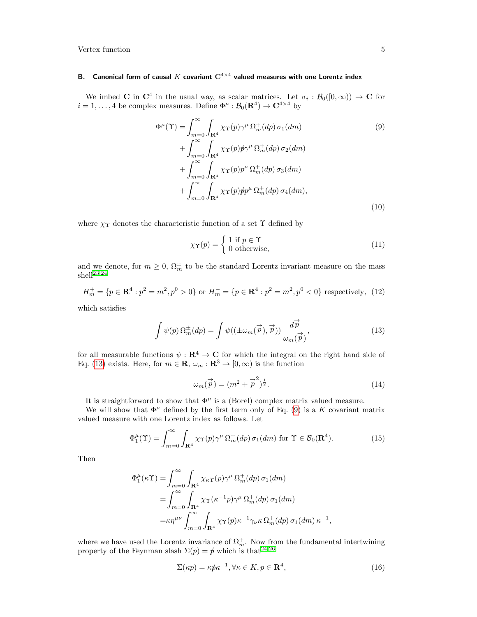## <span id="page-4-0"></span>B. Canonical form of causal  $K$  covariant  $\mathbf{C}^{4 \times 4}$  valued measures with one Lorentz index

We imbed **C** in  $\mathbb{C}^4$  in the usual way, as scalar matrices. Let  $\sigma_i : \mathcal{B}_0([0,\infty)) \to \mathbb{C}$  for  $i = 1, ..., 4$  be complex measures. Define  $\Phi^{\mu} : \mathcal{B}_0(\mathbf{R}^4) \to \mathbf{C}^{4 \times 4}$  by

<span id="page-4-2"></span>
$$
\Phi^{\mu}(\Upsilon) = \int_{m=0}^{\infty} \int_{\mathbf{R}^{4}} \chi_{\Upsilon}(p) \gamma^{\mu} \Omega_{m}^{+}(dp) \sigma_{1}(dm) \n+ \int_{m=0}^{\infty} \int_{\mathbf{R}^{4}} \chi_{\Upsilon}(p) p \gamma^{\mu} \Omega_{m}^{+}(dp) \sigma_{2}(dm) \n+ \int_{m=0}^{\infty} \int_{\mathbf{R}^{4}} \chi_{\Upsilon}(p) p^{\mu} \Omega_{m}^{+}(dp) \sigma_{3}(dm) \n+ \int_{m=0}^{\infty} \int_{\mathbf{R}^{4}} \chi_{\Upsilon}(p) p p^{\mu} \Omega_{m}^{+}(dp) \sigma_{4}(dm),
$$
\n(10)

where  $\chi_{\Upsilon}$  denotes the characteristic function of a set  $\Upsilon$  defined by

$$
\chi_{\Upsilon}(p) = \begin{cases} 1 \text{ if } p \in \Upsilon \\ 0 \text{ otherwise,} \end{cases}
$$
 (11)

and we denote, for  $m \geq 0$ ,  $\Omega_m^{\pm}$  to be the standard Lorentz invariant measure on the mass shell<sup>[23,](#page-35-22)[24](#page-35-21)</sup>

$$
H_m^+ = \{ p \in \mathbf{R}^4 : p^2 = m^2, p^0 > 0 \} \text{ or } H_m^- = \{ p \in \mathbf{R}^4 : p^2 = m^2, p^0 < 0 \} \text{ respectively, (12)}
$$

which satisfies

<span id="page-4-1"></span>
$$
\int \psi(p) \,\Omega_m^{\pm}(dp) = \int \psi((\pm \omega_m(\vec{p}), \vec{p})) \frac{d\vec{p}}{\omega_m(\vec{p})},\tag{13}
$$

for all measurable functions  $\psi : \mathbf{R}^4 \to \mathbf{C}$  for which the integral on the right hand side of Eq. [\(13\)](#page-4-1) exists. Here, for  $m \in \mathbf{R}$ ,  $\omega_m : \mathbf{R}^3 \to [0, \infty)$  is the function

$$
\omega_m(\vec{p}) = (m^2 + \vec{p}^2)^{\frac{1}{2}}.
$$
\n
$$
(14)
$$

It is straightforword to show that  $\Phi^{\mu}$  is a (Borel) complex matrix valued measure.

We will show that  $\Phi^{\mu}$  defined by the first term only of Eq. [\(9\)](#page-4-2) is a K covariant matrix valued measure with one Lorentz index as follows. Let

$$
\Phi_1^{\mu}(\Upsilon) = \int_{m=0}^{\infty} \int_{\mathbf{R}^4} \chi_{\Upsilon}(p) \gamma^{\mu} \Omega_m^+(dp) \sigma_1(dm) \text{ for } \Upsilon \in \mathcal{B}_0(\mathbf{R}^4). \tag{15}
$$

Then

$$
\Phi_{1}^{\mu}(\kappa \Upsilon) = \int_{m=0}^{\infty} \int_{\mathbf{R}^{4}} \chi_{\kappa \Upsilon}(p) \gamma^{\mu} \Omega_{m}^{+}(dp) \sigma_{1}(dm)
$$
  
\n
$$
= \int_{m=0}^{\infty} \int_{\mathbf{R}^{4}} \chi_{\Upsilon}(\kappa^{-1}p) \gamma^{\mu} \Omega_{m}^{+}(dp) \sigma_{1}(dm)
$$
  
\n
$$
= \kappa \eta^{\mu \nu} \int_{m=0}^{\infty} \int_{\mathbf{R}^{4}} \chi_{\Upsilon}(p) \kappa^{-1} \gamma_{\nu} \kappa \Omega_{m}^{+}(dp) \sigma_{1}(dm) \kappa^{-1},
$$

where we have used the Lorentz invariance of  $\Omega_m^+$ . Now from the fundamental intertwining property of the Feynman slash  $\Sigma(p) = p'$  which is that<sup>[24](#page-35-21)[,26](#page-35-19)</sup>

$$
\Sigma(\kappa p) = \kappa p \kappa^{-1}, \forall \kappa \in K, p \in \mathbf{R}^4,\tag{16}
$$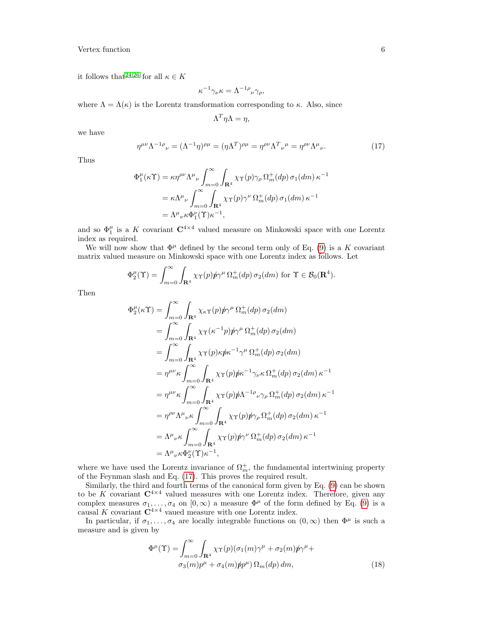it follows that  $2^{4,26}$  $2^{4,26}$  $2^{4,26}$  for all  $\kappa \in K$ 

Φ

$$
\kappa^{-1}\gamma_{\nu}\kappa = \Lambda^{-1\rho}_{\nu}\gamma_{\rho},
$$

where  $\Lambda = \Lambda(\kappa)$  is the Lorentz transformation corresponding to  $\kappa$ . Also, since

$$
\Lambda^T \eta \Lambda = \eta,
$$

we have

<span id="page-5-0"></span>
$$
\eta^{\mu\nu}\Lambda^{-1\rho}{}_{\nu} = (\Lambda^{-1}\eta)^{\rho\mu} = (\eta\Lambda^{T})^{\rho\mu} = \eta^{\rho\nu}\Lambda^{T}{}_{\nu}{}^{\mu} = \eta^{\rho\nu}\Lambda^{\mu}{}_{\nu}.\tag{17}
$$

Thus

$$
\Phi_1^{\mu}(\kappa \Upsilon) = \kappa \eta^{\rho \nu} \Lambda^{\mu}{}_{\nu} \int_{m=0}^{\infty} \int_{\mathbf{R}^4} \chi_{\Upsilon}(p) \gamma_{\rho} \Omega_m^+(dp) \sigma_1(dm) \kappa^{-1}
$$
  
=  $\kappa \Lambda^{\mu}{}_{\nu} \int_{m=0}^{\infty} \int_{\mathbf{R}^4} \chi_{\Upsilon}(p) \gamma^{\nu} \Omega_m^+(dp) \sigma_1(dm) \kappa^{-1}$   
=  $\Lambda^{\mu}{}_{\nu} \kappa \Phi_1^{\nu}(\Upsilon) \kappa^{-1},$ 

and so  $\Phi_1^{\mu}$  is a K covariant  $\mathbb{C}^{4\times 4}$  valued measure on Minkowski space with one Lorentz index as required.

We will now show that  $\Phi^{\mu}$  defined by the second term only of Eq. [\(9\)](#page-4-2) is a K covariant matrix valued measure on Minkowski space with one Lorentz index as follows. Let

$$
\Phi_2^{\mu}(\Upsilon) = \int_{m=0}^{\infty} \int_{\mathbf{R}^4} \chi_{\Upsilon}(p) p\gamma^{\mu} \Omega_m^+(dp) \sigma_2(dm) \text{ for } \Upsilon \in \mathcal{B}_0(\mathbf{R}^4).
$$

Then

$$
\mu_{2}^{\mu}(\kappa \Upsilon) = \int_{m=0}^{\infty} \int_{\mathbf{R}^{4}} \chi_{\kappa \Upsilon}(p) p\gamma^{\mu} \Omega_{m}^{+}(dp) \sigma_{2}(dm)
$$
  
\n
$$
= \int_{m=0}^{\infty} \int_{\mathbf{R}^{4}} \chi_{\Upsilon}(\kappa^{-1}p) p\gamma^{\mu} \Omega_{m}^{+}(dp) \sigma_{2}(dm)
$$
  
\n
$$
= \int_{m=0}^{\infty} \int_{\mathbf{R}^{4}} \chi_{\Upsilon}(p) \kappa p\kappa^{-1} \gamma^{\mu} \Omega_{m}^{+}(dp) \sigma_{2}(dm)
$$
  
\n
$$
= \eta^{\mu\nu} \kappa \int_{m=0}^{\infty} \int_{\mathbf{R}^{4}} \chi_{\Upsilon}(p) p\kappa^{-1} \gamma_{\nu} \kappa \Omega_{m}^{+}(dp) \sigma_{2}(dm) \kappa^{-1}
$$
  
\n
$$
= \eta^{\mu\nu} \kappa \int_{m=0}^{\infty} \int_{\mathbf{R}^{4}} \chi_{\Upsilon}(p) p\Lambda^{-1} \rho_{\nu} \gamma_{\rho} \Omega_{m}^{+}(dp) \sigma_{2}(dm) \kappa^{-1}
$$
  
\n
$$
= \eta^{\rho\nu} \Lambda^{\mu} \nu \kappa \int_{m=0}^{\infty} \int_{\mathbf{R}^{4}} \chi_{\Upsilon}(p) p\gamma_{\rho} \Omega_{m}^{+}(dp) \sigma_{2}(dm) \kappa^{-1}
$$
  
\n
$$
= \Lambda^{\mu} \nu \kappa \int_{m=0}^{\infty} \int_{\mathbf{R}^{4}} \chi_{\Upsilon}(p) p\gamma^{\nu} \Omega_{m}^{+}(dp) \sigma_{2}(dm) \kappa^{-1}
$$
  
\n
$$
= \Lambda^{\mu} \nu \kappa \Phi_{2}^{\nu}(\Upsilon) \kappa^{-1},
$$

where we have used the Lorentz invariance of  $\Omega_m^+$ , the fundamental intertwining property of the Feynman slash and Eq. [\(17\)](#page-5-0). This proves the required result.

Similarly, the third and fourth terms of the canonical form given by Eq. [\(9\)](#page-4-2) can be shown to be K covariant  $C^{4\times4}$  valued measures with one Lorentz index. Therefore, given any complex measures  $\sigma_1, \ldots, \sigma_4$  on  $[0, \infty)$  a measure  $\Phi^{\mu}$  of the form defined by Eq. [\(9\)](#page-4-2) is a causal K covariant  $\mathbb{C}^{4\times 4}$  vaued measure with one Lorentz index.

In particular, if  $\sigma_1, \ldots, \sigma_4$  are locally integrable functions on  $(0, \infty)$  then  $\Phi^{\mu}$  is such a measure and is given by

<span id="page-5-1"></span>
$$
\Phi^{\mu}(\Upsilon) = \int_{m=0}^{\infty} \int_{\mathbf{R}^{4}} \chi \gamma(p) (\sigma_{1}(m)\gamma^{\mu} + \sigma_{2}(m)\rlap/p\gamma^{\mu} + \sigma_{3}(m)\rlap/p\mu^{\mu} + \sigma_{4}(m)\rlap/p\rlap/p\mu^{\mu}) \Omega_{m}(dp) dm,
$$
\n(18)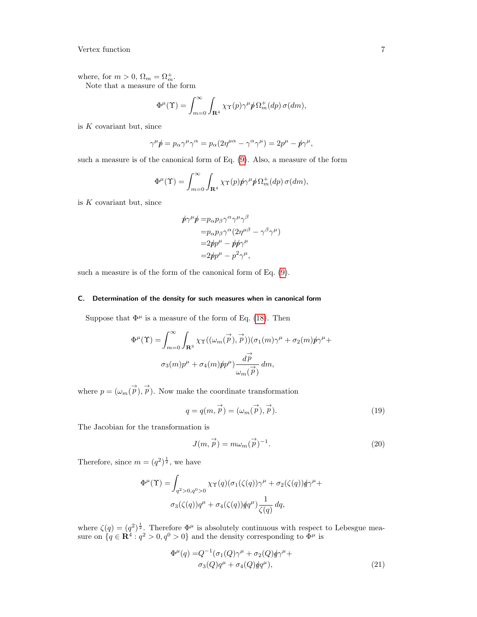where, for  $m > 0$ ,  $\Omega_m = \Omega_m^+$ . Note that a measure of the form

$$
\Phi^{\mu}(\Upsilon) = \int_{m=0}^{\infty} \int_{\mathbf{R}^{4}} \chi_{\Upsilon}(p) \gamma^{\mu} \phi \Omega_{m}^{+}(dp) \sigma(dm),
$$

is  $K$  covariant but, since

$$
\gamma^{\mu} \not p = p_{\alpha} \gamma^{\mu} \gamma^{\alpha} = p_{\alpha} (2 \eta^{\mu \alpha} - \gamma^{\alpha} \gamma^{\mu}) = 2 p^{\mu} - p \gamma^{\mu},
$$

such a measure is of the canonical form of Eq. [\(9\)](#page-4-2). Also, a measure of the form

$$
\Phi^{\mu}(\Upsilon) = \int_{m=0}^{\infty} \int_{\mathbf{R}^{4}} \chi \gamma(p) p \gamma^{\mu} p \Omega_{m}^{+}(dp) \sigma(dm),
$$

is  $K$  covariant but, since

$$
\begin{aligned} \not p \gamma^{\mu} \not p =& p_{\alpha} p_{\beta} \gamma^{\alpha} \gamma^{\mu} \gamma^{\beta} \\ =& p_{\alpha} p_{\beta} \gamma^{\alpha} (2 \eta^{\mu \beta} - \gamma^{\beta} \gamma^{\mu}) \\ =& 2 \not p p^{\mu} - \not p \not p \gamma^{\mu} \\ =& 2 \not p p^{\mu} - p^2 \gamma^{\mu}, \end{aligned}
$$

such a measure is of the form of the canonical form of Eq. [\(9\)](#page-4-2).

#### <span id="page-6-0"></span>C. Determination of the density for such measures when in canonical form

Suppose that  $\Phi^{\mu}$  is a measure of the form of Eq. [\(18\)](#page-5-1). Then

$$
\Phi^{\mu}(\Upsilon) = \int_{m=0}^{\infty} \int_{\mathbf{R}^3} \chi_{\Upsilon}((\omega_m(\vec{p}), \vec{p})) (\sigma_1(m)\gamma^{\mu} + \sigma_2(m)\cancel{p}\gamma^{\mu} + \sigma_3(m)\cancel{p}\gamma^{\mu} + \sigma_4(m)\cancel{p}\cancel{p}^{\mu}) \frac{d\vec{p}}{\omega_m(\vec{p})} dm,
$$

where  $p = (\omega_m(\vec{p}), \vec{p})$ . Now make the coordinate transformation

$$
q = q(m, \vec{p}) = (\omega_m(\vec{p}), \vec{p}).
$$
\n(19)

The Jacobian for the transformation is

$$
J(m, \vec{p}) = m\omega_m(\vec{p})^{-1}.
$$
\n(20)

Therefore, since  $m = (q^2)^{\frac{1}{2}}$ , we have

$$
\Phi^{\mu}(\Upsilon) = \int_{q^2 > 0, q^0 > 0} \chi_{\Upsilon}(q) (\sigma_1(\zeta(q))\gamma^{\mu} + \sigma_2(\zeta(q))\dot{q}\gamma^{\mu} + \sigma_3(\zeta(q))q^{\mu} + \sigma_4(\zeta(q))\dot{q}q^{\mu}) \frac{1}{\zeta(q)} dq,
$$

where  $\zeta(q) = (q^2)^{\frac{1}{2}}$ . Therefore  $\Phi^{\mu}$  is absolutely continuous with respect to Lebesgue measure on  $\{q \in \mathbb{R}^4 : q^2 > 0, q^0 > 0\}$  and the density corresponding to  $\Phi^{\mu}$  is

<span id="page-6-1"></span>
$$
\Phi^{\mu}(q) = Q^{-1}(\sigma_1(Q)\gamma^{\mu} + \sigma_2(Q)\rlap/q\gamma^{\mu} + \sigma_3(Q)q^{\mu} + \sigma_4(Q)\rlap/qq^{\mu}),
$$
\n(21)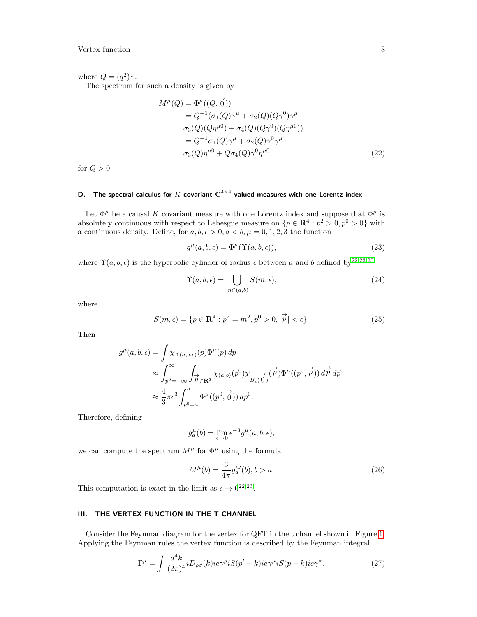where  $Q = (q^2)^{\frac{1}{2}}$ .

The spectrum for such a density is given by

$$
M^{\mu}(Q) = \Phi^{\mu}((Q, \vec{0}))
$$
  
=  $Q^{-1}(\sigma_1(Q)\gamma^{\mu} + \sigma_2(Q)(Q\gamma^0)\gamma^{\mu} + \sigma_3(Q)(Q\eta^{\mu 0}) + \sigma_4(Q)(Q\gamma^0)(Q\eta^{\mu 0}))$   
=  $Q^{-1}\sigma_1(Q)\gamma^{\mu} + \sigma_2(Q)\gamma^0\gamma^{\mu} + \sigma_3(Q)\eta^{\mu 0} + Q\sigma_4(Q)\gamma^0\eta^{\mu 0},$  (22)

for  $Q > 0$ .

## <span id="page-7-0"></span>D. The spectral calculus for  $K$  covariant  $\mathbf{C}^{4 \times 4}$  valued measures with one Lorentz index

Let  $\Phi^\mu$  be a causal  $K$  covariant measure with one Lorentz index and suppose that  $\Phi^\mu$  is absolutely continuous with respect to Lebesgue measure on  $\{p \in \mathbb{R}^4 : p^2 > 0, p^0 > 0\}$  with a continuous density. Define, for  $a, b, \epsilon > 0, a < b, \mu = 0, 1, 2, 3$  the function

<span id="page-7-3"></span>
$$
g^{\mu}(a,b,\epsilon) = \Phi^{\mu}(\Upsilon(a,b,\epsilon)),\tag{23}
$$

where  $\Upsilon(a, b, \epsilon)$  is the hyperbolic cylinder of radius  $\epsilon$  between a and b defined by<sup>[22,](#page-35-17)[23](#page-35-22)[,25](#page-35-18)</sup>

$$
\Upsilon(a,b,\epsilon) = \bigcup_{m \in (a,b)} S(m,\epsilon),\tag{24}
$$

where

$$
S(m,\epsilon) = \{ p \in \mathbf{R}^4 : p^2 = m^2, p^0 > 0, |\vec{p}| < \epsilon \}. \tag{25}
$$

Then

$$
g^{\mu}(a,b,\epsilon) = \int \chi_{\Upsilon(a,b,\epsilon)}(p)\Phi^{\mu}(p) dp
$$
  
\n
$$
\approx \int_{p^0=-\infty}^{\infty} \int_{\overrightarrow{p}\in\mathbf{R}^3} \chi_{(a,b)}(p^0)\chi_{B_{\epsilon}(\overrightarrow{0})}(\overrightarrow{p})\Phi^{\mu}((p^0,\overrightarrow{p})) d\overrightarrow{p} dp^0
$$
  
\n
$$
\approx \frac{4}{3}\pi\epsilon^3 \int_{p^0=a}^{b} \Phi^{\mu}((p^0,\overrightarrow{0})) dp^0.
$$

Therefore, defining

$$
g_a^{\mu}(b) = \lim_{\epsilon \to 0} \epsilon^{-3} g^{\mu}(a, b, \epsilon),
$$

we can compute the spectrum  $M^{\mu}$  for  $\Phi^{\mu}$  using the formula

$$
M^{\mu}(b) = \frac{3}{4\pi} g_a^{\mu}(b), b > a.
$$
 (26)

This computation is exact in the limit as  $\epsilon \to 0^{22,23}$  $\epsilon \to 0^{22,23}$  $\epsilon \to 0^{22,23}$  $\epsilon \to 0^{22,23}$ .

## <span id="page-7-1"></span>III. THE VERTEX FUNCTION IN THE T CHANNEL

Consider the Feynman diagram for the vertex for QFT in the t channel shown in Figure [1.](#page-8-1) Applying the Feynman rules the vertex function is described by the Feynman integral

<span id="page-7-2"></span>
$$
\Gamma^{\mu} = \int \frac{d^4k}{(2\pi)^4} i D_{\rho\sigma}(k) i e^{\gamma \rho} i S(p-k) i e^{\gamma \mu} i S(p-k) i e^{\gamma \sigma}.
$$
 (27)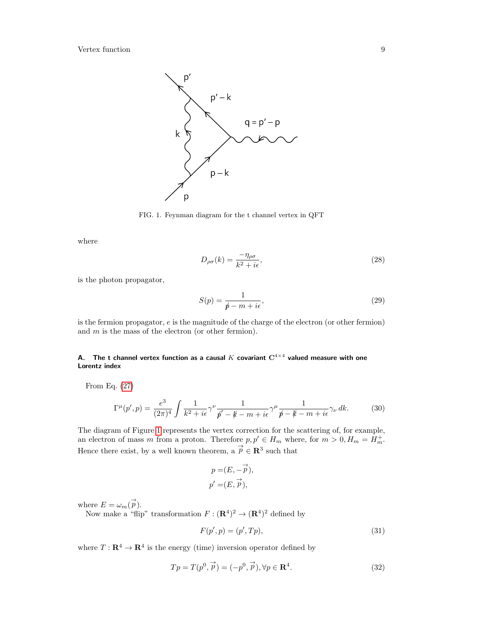

<span id="page-8-1"></span>FIG. 1. Feynman diagram for the t channel vertex in QFT

where

$$
D_{\rho\sigma}(k) = \frac{-\eta_{\rho\sigma}}{k^2 + i\epsilon},\tag{28}
$$

is the photon propagator,

$$
S(p) = \frac{1}{p - m + i\epsilon},\tag{29}
$$

is the fermion propagator,  $e$  is the magnitude of the charge of the electron (or other fermion) and  $m$  is the mass of the electron (or other fermion).

## <span id="page-8-0"></span>A. The t channel vertex function as a causal  $K$  covariant  $\mathbf{C}^{4 \times 4}$  valued measure with one Lorentz index

From Eq. [\(27\)](#page-7-2)

$$
\Gamma^{\mu}(p',p) = \frac{e^3}{(2\pi)^4} \int \frac{1}{k^2 + i\epsilon} \gamma^{\nu} \frac{1}{p' - k - m + i\epsilon} \gamma^{\mu} \frac{1}{p - k - m + i\epsilon} \gamma_{\nu} dk.
$$
 (30)

The diagram of Figure [1](#page-8-1) represents the vertex correction for the scattering of, for example, an electron of mass m from a proton. Therefore  $p, p' \in H_m$  where, for  $m > 0, H_m = H_m^+$ . Hence there exist, by a well known theorem, a  $\overrightarrow{p} \in \mathbb{R}^3$  such that

$$
p = (E, -\overrightarrow{p}),
$$
  

$$
p' = (E, \overrightarrow{p}),
$$

where  $E = \omega_m(\vec{p})$ .

Now make a "flip" transformation  $F : (\mathbf{R}^4)^2 \to (\mathbf{R}^4)^2$  defined by

$$
F(p', p) = (p', Tp),\tag{31}
$$

where  $T: \mathbf{R}^4 \to \mathbf{R}^4$  is the energy (time) inversion operator defined by

$$
Tp = T(p^0, \vec{p}) = (-p^0, \vec{p}), \forall p \in \mathbf{R}^4.
$$
\n(32)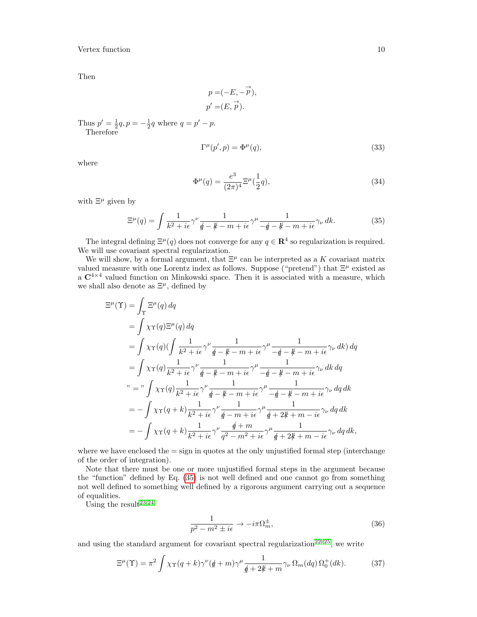Then

$$
p = (-E, -\overrightarrow{p}),
$$
  

$$
p' = (E, \overrightarrow{p}).
$$

Thus  $p' = \frac{1}{2}q$ ,  $p = -\frac{1}{2}q$  where  $q = p' - p$ . Therefore

$$
\Gamma^{\mu}(p',p) = \Phi^{\mu}(q),\tag{33}
$$

where

<span id="page-9-1"></span>
$$
\Phi^{\mu}(q) = \frac{e^3}{(2\pi)^4} \Xi^{\mu}(\frac{1}{2}q),\tag{34}
$$

with  $\Xi^{\mu}$  given by

<span id="page-9-0"></span>
$$
\Xi^{\mu}(q) = \int \frac{1}{k^2 + i\epsilon} \gamma^{\nu} \frac{1}{\rlap/q - \rlap/k - m + i\epsilon} \gamma^{\mu} \frac{1}{-\rlap/q - \rlap/k - m + i\epsilon} \gamma_{\nu} \, dk. \tag{35}
$$

The integral defining  $\Xi^{\mu}(q)$  does not converge for any  $q \in \mathbb{R}^{4}$  so regularization is required. We will use covariant spectral regularization.

We will show, by a formal argument, that  $\Xi^{\mu}$  can be interpreted as a K covariant matrix valued measure with one Lorentz index as follows. Suppose ("pretend") that  $\Xi^{\mu}$  existed as a  $C^{4\times4}$  valued function on Minkowski space. Then it is associated with a measure, which we shall also denote as  $\Xi^{\mu}$ , defined by

$$
\begin{split}\n\Xi^{\mu}(\Upsilon) &= \int_{\Upsilon} \Xi^{\mu}(q) \, dq \\
&= \int \chi \Upsilon(q) \Xi^{\mu}(q) \, dq \\
&= \int \chi \Upsilon(q) \Big( \int \frac{1}{k^2 + i\epsilon} \gamma^{\nu} \frac{1}{\oint - \oint - m + i\epsilon} \gamma^{\mu} \frac{1}{-\oint - \oint - m + i\epsilon} \gamma_{\nu} \, dk \Big) \, dq \\
&= \int \chi \Upsilon(q) \frac{1}{k^2 + i\epsilon} \gamma^{\nu} \frac{1}{\oint - \oint - m + i\epsilon} \gamma^{\mu} \frac{1}{-\oint - \oint - m + i\epsilon} \gamma_{\nu} \, dk \, dq \\
& \quad \text{with} \quad m = \int \chi \Upsilon(q) \frac{1}{k^2 + i\epsilon} \gamma^{\nu} \frac{1}{\oint - \oint - m + i\epsilon} \gamma^{\mu} \frac{1}{-\oint - \oint - m + i\epsilon} \gamma_{\nu} \, dq \, dk \\
&= - \int \chi \Upsilon(q + k) \frac{1}{k^2 + i\epsilon} \gamma^{\nu} \frac{1}{\oint - m + i\epsilon} \gamma^{\mu} \frac{1}{\oint + 2\oint + m - i\epsilon} \gamma_{\nu} \, dq \, dk \\
&= - \int \chi \Upsilon(q + k) \frac{1}{k^2 + i\epsilon} \gamma^{\nu} \frac{\oint + m}{q^2 - m^2 + i\epsilon} \gamma^{\mu} \frac{1}{\oint + 2\oint + m - i\epsilon} \gamma_{\nu} \, dq \, dk,\n\end{split}
$$

where we have enclosed the  $=$  sign in quotes at the only unjustified formal step (interchange of the order of integration).

Note that there must be one or more unjustified formal steps in the argument because the "function" defined by Eq. [\(35\)](#page-9-0) is not well defined and one cannot go from something not well defined to something well defined by a rigorous argument carrying out a sequence of equalities.

Using the result<sup>[23](#page-35-22)[,24](#page-35-21)</sup>

<span id="page-9-2"></span>
$$
\frac{1}{p^2 - m^2 \pm i\epsilon} \to -i\pi \Omega_m^{\pm},\tag{36}
$$

and using the standard argument for covariant spectral regularization<sup>[22](#page-35-17)[–25](#page-35-18)</sup>, we write

$$
\Xi^{\mu}(\Upsilon) = \pi^2 \int \chi_{\Upsilon}(q+k)\gamma^{\nu}(q+m)\gamma^{\mu}\frac{1}{q+2k+m}\gamma_{\nu}\,\Omega_m(dq)\,\Omega_0^+(dk). \tag{37}
$$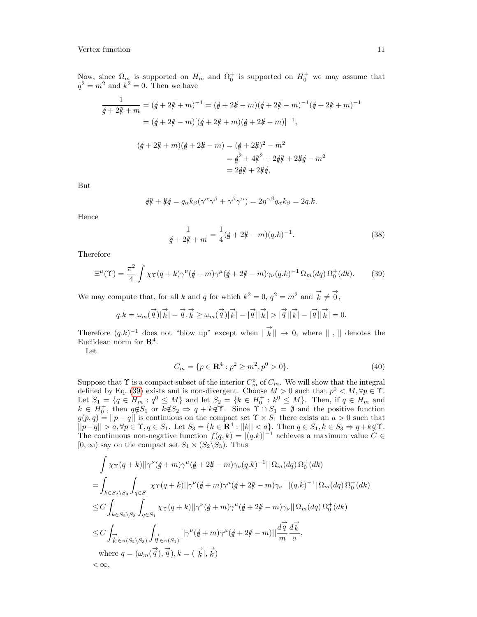Now, since  $\Omega_m$  is supported on  $H_m$  and  $\Omega_0^+$  is supported on  $H_0^+$  we may assume that  $q^2 = m^2$  and  $k^2 = 0$ . Then we have

$$
\frac{1}{\cancel{q} + 2\cancel{k} + m} = (\cancel{q} + 2\cancel{k} + m)^{-1} = (\cancel{q} + 2\cancel{k} - m)(\cancel{q} + 2\cancel{k} - m)^{-1}(\cancel{q} + 2\cancel{k} + m)^{-1}
$$
\n
$$
= (\cancel{q} + 2\cancel{k} - m)[(\cancel{q} + 2\cancel{k} + m)(\cancel{q} + 2\cancel{k} - m)]^{-1},
$$
\n
$$
(\cancel{q} + 2\cancel{k} + m)(\cancel{q} + 2\cancel{k} - m) = (\cancel{q} + 2\cancel{k})^2 - m^2
$$
\n
$$
= \cancel{q}^2 + 4\cancel{k}^2 + 2\cancel{q}\cancel{k} + 2\cancel{k}\cancel{q} - m^2
$$
\n
$$
= 2\cancel{q}\cancel{k} + 2\cancel{k}\cancel{q},
$$

But

$$
\oint d\mathbf{k} + \mathbf{k}\oint d\mathbf{k} = q_\alpha k_\beta (\gamma^\alpha \gamma^\beta + \gamma^\beta \gamma^\alpha) = 2\eta^{\alpha\beta} q_\alpha k_\beta = 2q.k.
$$

Hence

$$
\frac{1}{\cancel{q}+2\cancel{k}+m} = \frac{1}{4}(\cancel{q}+2\cancel{k}-m)(q.k)^{-1}.
$$
\n(38)

Therefore

<span id="page-10-0"></span>
$$
\Xi^{\mu}(\Upsilon) = \frac{\pi^2}{4} \int \chi_{\Upsilon}(q+k)\gamma^{\nu}(q+m)\gamma^{\mu}(q+2k-m)\gamma_{\nu}(q.k)^{-1} \Omega_m(dq) \Omega_0^+(dk). \tag{39}
$$

We may compute that, for all k and q for which  $k^2 = 0$ ,  $q^2 = m^2$  and  $\vec{k} \neq \vec{0}$ ,

$$
q.k = \omega_m(\vec{q})|\vec{k}| - \vec{q}.\vec{k} \ge \omega_m(\vec{q})|\vec{k}| - |\vec{q}||\vec{k}| > |\vec{q}||\vec{k}| - |\vec{q}||\vec{k}| = 0.
$$

Therefore  $(q,k)^{-1}$  does not "blow up" except when  $\|\vec{k}\| \to 0$ , where  $\|\cdot\|$  denotes the Euclidean norm for  $\mathbb{R}^4$ .

Let

$$
C_m = \{ p \in \mathbf{R}^4 : p^2 \ge m^2, p^0 > 0 \}. \tag{40}
$$

Suppose that  $\Upsilon$  is a compact subset of the interior  $C_m^o$  of  $C_m$ . We will show that the integral defined by Eq. [\(39\)](#page-10-0) exists and is non-divergent. Choose  $M > 0$  such that  $p^0 < M, \forall p \in \Upsilon$ . Let  $S_1 = \{q \in H_m : q^0 \leq M\}$  and let  $S_2 = \{k \in H_0^+ : k^0 \leq M\}$ . Then, if  $q \in H_m$  and  $k \in H_0^+$ , then  $q \notin S_1$  or  $k \notin S_2 \Rightarrow q + k \notin \Upsilon$ . Since  $\Upsilon \cap S_1 = \emptyset$  and the positive function  $g(p,q) = ||p - q||$  is continuous on the compact set  $\Upsilon \times S_1$  there exists an  $a > 0$  such that  $||p-q|| > a, \forall p \in \Upsilon, q \in S_1$ . Let  $S_3 = \{k \in \mathbb{R}^4 : ||k|| < a\}$ . Then  $q \in S_1, k \in S_3 \Rightarrow q + k \notin \Upsilon$ . The continuous non-negative function  $f(q, k) = |(q, k)|^{-1}$  achieves a maximum value  $C \in$  $[0, \infty)$  say on the compact set  $S_1 \times (S_2 \backslash S_3)$ . Thus

$$
\int \chi \gamma(q+k) ||\gamma^{\nu}(\not{q}+m)\gamma^{\mu}(\not{q}+2\not{k}-m)\gamma_{\nu}(q.k)^{-1} || \Omega_{m}(dq) \Omega_{0}^{+}(dk)
$$
\n
$$
= \int_{k \in S_{2} \backslash S_{3}} \int_{q \in S_{1}} \chi \gamma(q+k) ||\gamma^{\nu}(\not{q}+m)\gamma^{\mu}(\not{q}+2\not{k}-m)\gamma_{\nu}|| |(q.k)^{-1} |\Omega_{m}(dq) \Omega_{0}^{+}(dk)
$$
\n
$$
\leq C \int_{k \in S_{2} \backslash S_{3}} \int_{q \in S_{1}} \chi \gamma(q+k) ||\gamma^{\nu}(\not{q}+m)\gamma^{\mu}(\not{q}+2\not{k}-m)\gamma_{\nu}|| \Omega_{m}(dq) \Omega_{0}^{+}(dk)
$$
\n
$$
\leq C \int_{\stackrel{\rightarrow}{K} \in \pi(S_{2} \backslash S_{3})} \int_{\stackrel{\rightarrow}{q} \in \pi(S_{1})} ||\gamma^{\nu}(\not{q}+m)\gamma^{\mu}(\not{q}+2\not{k}-m)||\frac{d\stackrel{\rightarrow}{q}}{m}\frac{d\stackrel{\rightarrow}{k}}{a},
$$
\nwhere  $q = (\omega_{m}(\stackrel{\rightarrow}{q}), \stackrel{\rightarrow}{q}), k = (|\stackrel{\rightarrow}{k}|, \stackrel{\rightarrow}{k})$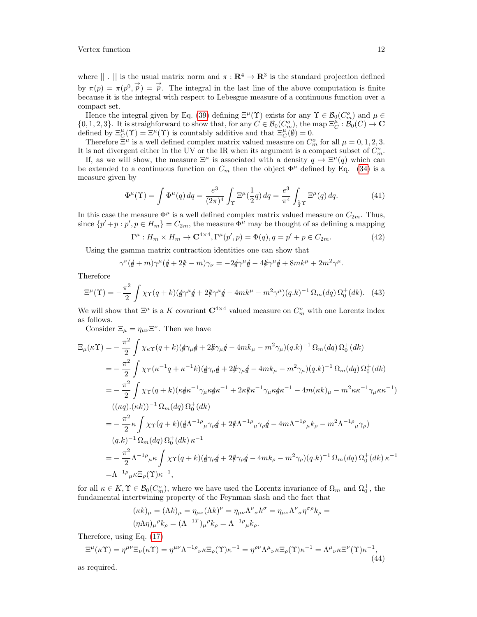where  $|| \cdot ||$  is the usual matrix norm and  $\pi : \mathbb{R}^4 \to \mathbb{R}^3$  is the standard projection defined by  $\pi(p) = \pi(p^0, \vec{p}) = \vec{p}$ . The integral in the last line of the above computation is finite because it is the integral with respect to Lebesgue measure of a continuous function over a compact set.

Hence the integral given by Eq. [\(39\)](#page-10-0) defining  $\Xi^{\mu}(\Upsilon)$  exists for any  $\Upsilon \in \mathcal{B}_0(C_m^o)$  and  $\mu \in$  $\{0, 1, 2, 3\}$ . It is straighforward to show that, for any  $C \in \mathcal{B}_0(C_m^o)$ , the map  $\Xi_C^{\mu} : \mathcal{B}_0(C) \to \mathbf{C}$ defined by  $\Xi_C^{\mu}(\Upsilon) = \Xi^{\mu}(\Upsilon)$  is countably additive and that  $\Xi_C^{\mu}(\emptyset) = 0$ .

Therefore  $\Xi^{\mu}$  is a well defined complex matrix valued measure on  $C_m^o$  for all  $\mu = 0, 1, 2, 3$ . It is not divergent either in the UV or the IR when its argument is a compact subset of  $C_m^o$ .

If, as we will show, the measure  $\Xi^{\mu}$  is associated with a density  $q \mapsto \Xi^{\mu}(q)$  which can be extended to a continuous function on  $C_m$  then the object  $\Phi^{\mu}$  defined by Eq. [\(34\)](#page-9-1) is a measure given by

$$
\Phi^{\mu}(\Upsilon) = \int \Phi^{\mu}(q) \, dq = \frac{e^3}{(2\pi)^4} \int_{\Upsilon} \Xi^{\mu}(\frac{1}{2}q) \, dq = \frac{e^3}{\pi^4} \int_{\frac{1}{2}\Upsilon} \Xi^{\mu}(q) \, dq. \tag{41}
$$

In this case the measure  $\Phi^{\mu}$  is a well defined complex matrix valued measure on  $C_{2m}$ . Thus, since  $\{p' + p : p', p \in H_m\} = C_{2m}$ , the measure  $\Phi^{\mu}$  may be thought of as defining a mapping

$$
\Gamma^{\mu}: H_m \times H_m \to \mathbf{C}^{4 \times 4}, \Gamma^{\mu}(p', p) = \Phi(q), q = p' + p \in C_{2m}.
$$
 (42)

Using the gamma matrix contraction identities one can show that

$$
\gamma^{\nu}(\mathbf{\phi} + m)\gamma^{\mu}(\mathbf{\phi} + 2\mathbf{\psi} - m)\gamma_{\nu} = -2\mathbf{\phi}\gamma^{\mu}\mathbf{\phi} - 4\mathbf{\psi}\gamma^{\mu}\mathbf{\phi} + 8mk^{\mu} + 2m^2\gamma^{\mu}.
$$

Therefore

$$
\Xi^{\mu}(\Upsilon) = -\frac{\pi^2}{2} \int \chi_{\Upsilon}(q+k)(\oint \gamma^{\mu} \oint + 2\oint \gamma^{\mu} \oint - 4mk^{\mu} - m^2 \gamma^{\mu})(q.k)^{-1} \Omega_m(dq) \Omega_0^+(dk). \tag{43}
$$

We will show that  $\Xi^{\mu}$  is a K covariant  $\mathbb{C}^{4\times 4}$  valued measure on  $C_m^o$  with one Lorentz index as follows.

Consider  $\Xi_{\mu} = \eta_{\mu\nu} \Xi^{\nu}$ . Then we have

$$
\Xi_{\mu}(\kappa \Upsilon) = -\frac{\pi^{2}}{2} \int \chi_{\kappa \Upsilon}(q+k)(\oint \gamma_{\mu} \oint + 2 \oint \gamma_{\mu} \oint - 4mk_{\mu} - m^{2} \gamma_{\mu})(q.k)^{-1} \Omega_{m}(dq) \Omega_{0}^{+}(dk)
$$
  
\n
$$
= -\frac{\pi^{2}}{2} \int \chi_{\Upsilon}(\kappa^{-1}q + \kappa^{-1}k)(\oint \gamma_{\mu} \oint + 2 \oint \gamma_{\mu} \oint - 4mk_{\mu} - m^{2} \gamma_{\mu})(q.k)^{-1} \Omega_{m}(dq) \Omega_{0}^{+}(dk)
$$
  
\n
$$
= -\frac{\pi^{2}}{2} \int \chi_{\Upsilon}(q+k)(\kappa \oint \kappa^{-1} \gamma_{\mu} \kappa \oint \kappa^{-1} + 2\kappa \oint \kappa^{-1} \gamma_{\mu} \kappa \oint \kappa^{-1} - 4m(\kappa k)_{\mu} - m^{2} \kappa \kappa^{-1} \gamma_{\mu} \kappa \kappa^{-1})
$$
  
\n
$$
((\kappa q).(\kappa k))^{-1} \Omega_{m}(dq) \Omega_{0}^{+}(dk)
$$
  
\n
$$
= -\frac{\pi^{2}}{2} \kappa \int \chi_{\Upsilon}(q+k)(\oint \Lambda^{-1}{}^{\rho}{}_{\mu} \gamma_{\rho} \oint + 2 \oint \Lambda^{-1}{}^{\rho}{}_{\mu} \gamma_{\rho} \oint - 4m \Lambda^{-1}{}^{\rho}{}_{\mu} k_{\rho} - m^{2} \Lambda^{-1}{}^{\rho}{}_{\mu} \gamma_{\rho})
$$
  
\n
$$
(q.k)^{-1} \Omega_{m}(dq) \Omega_{0}^{+}(dk) \kappa^{-1}
$$
  
\n
$$
= -\frac{\pi^{2}}{2} \Lambda^{-1}{}^{\rho}{}_{\mu} \kappa \int \chi_{\Upsilon}(q+k)(\oint \gamma_{\rho} \oint + 2 \oint \gamma_{\rho} \oint - 4mk_{\rho} - m^{2} \gamma_{\rho})(q.k)^{-1} \Omega_{m}(dq) \Omega_{0}^{+}(dk) \kappa^{-1}
$$
  
\n
$$
= \Lambda^{-1}{}^{\rho}{}_{\mu} \kappa \Xi_{\rho}(\Upsilon) \kappa^{-1},
$$

for all  $\kappa \in K$ ,  $\Upsilon \in \mathcal{B}_0(C_m^o)$ , where we have used the Lorentz invariance of  $\Omega_m$  and  $\Omega_0^+$ , the fundamental intertwining property of the Feynman slash and the fact that

$$
(\kappa k)_{\mu} = (\Lambda k)_{\mu} = \eta_{\mu\nu} (\Lambda k)^{\nu} = \eta_{\mu\nu} \Lambda^{\nu}{}_{\sigma} k^{\sigma} = \eta_{\mu\nu} \Lambda^{\nu}{}_{\sigma} \eta^{\sigma \rho} k_{\rho} =
$$

$$
(\eta \Lambda \eta)_{\mu}{}^{\rho} k_{\rho} = (\Lambda^{-1T})_{\mu}{}^{\rho} k_{\rho} = \Lambda^{-1 \rho}{}_{\mu} k_{\rho}.
$$

Therefore, using Eq. [\(17\)](#page-5-0)

$$
\Xi^{\mu}(\kappa \Upsilon) = \eta^{\mu \nu} \Xi_{\nu}(\kappa \Upsilon) = \eta^{\mu \nu} \Lambda^{-1 \rho}{}_{\nu} \kappa \Xi_{\rho}(\Upsilon) \kappa^{-1} = \eta^{\rho \nu} \Lambda^{\mu}{}_{\nu} \kappa \Xi_{\rho}(\Upsilon) \kappa^{-1} = \Lambda^{\mu}{}_{\nu} \kappa \Xi^{\nu}(\Upsilon) \kappa^{-1},\tag{44}
$$

as required.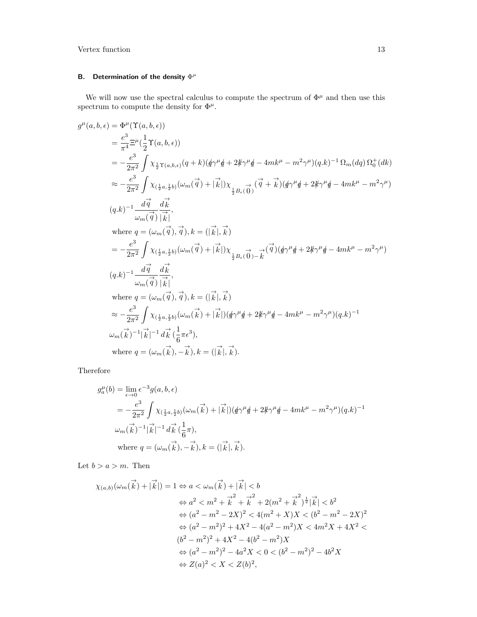## <span id="page-12-0"></span>B. Determination of the density  $\Phi^{\mu}$

We will now use the spectral calculus to compute the spectrum of  $\Phi^{\mu}$  and then use this spectrum to compute the density for  $\Phi^{\mu}$ .

$$
g^{\mu}(a,b,\epsilon) = \Phi^{\mu}(\Upsilon(a,b,\epsilon))
$$
  
\n
$$
= \frac{e^3}{\pi^4} \Xi^{\mu}(\frac{1}{2}\Upsilon(a,b,\epsilon))
$$
  
\n
$$
= -\frac{e^3}{2\pi^2} \int \chi_{\frac{1}{2}\Upsilon(a,b,\epsilon)}(q+k)(q\gamma^{\mu}q + 2k\gamma^{\mu}q - 4mk^{\mu} - m^2\gamma^{\mu})(q,k)^{-1}\Omega_{m}(dq)\Omega_{0}^{+}(dk)
$$
  
\n
$$
\approx -\frac{e^3}{2\pi^2} \int \chi_{(\frac{1}{2}a,\frac{1}{2}b)}(\omega_{m}(\vec{q}) + |\vec{k}|)\chi_{(\frac{1}{2}B_{\epsilon}(\vec{0})}(\vec{q} + \vec{k})(q\gamma^{\mu}q + 2k\gamma^{\mu}q - 4mk^{\mu} - m^2\gamma^{\mu})
$$
  
\n
$$
(q.k)^{-1} \frac{d\vec{q}}{\omega_{m}(\vec{q})} \frac{d\vec{k}}{|\vec{k}|},
$$
  
\nwhere  $q = (\omega_{m}(\vec{q}), \vec{q}), k = (|\vec{k}|, \vec{k})$   
\n
$$
= -\frac{e^3}{2\pi^2} \int \chi_{(\frac{1}{2}a,\frac{1}{2}b)}(\omega_{m}(\vec{q}) + |\vec{k}|)\chi_{(\frac{1}{2}B_{\epsilon}(\vec{0}) - \vec{k}}(\vec{q})(q\gamma^{\mu}q + 2k\gamma^{\mu}q - 4mk^{\mu} - m^2\gamma^{\mu})
$$
  
\n
$$
(q.k)^{-1} \frac{d\vec{q}}{\omega_{m}(\vec{q})} \frac{d\vec{k}}{|\vec{k}|},
$$
  
\nwhere  $q = (\omega_{m}(\vec{q}), \vec{q}), k = (|\vec{k}|, \vec{k})$   
\n
$$
\approx -\frac{e^3}{2\pi^2} \int \chi_{(\frac{1}{2}a,\frac{1}{2}b)}(\omega_{m}(\vec{k}) + |\vec{k}|)(q\gamma^{\mu}q + 2k\gamma^{\mu}q - 4mk^{\mu} - m^2\gamma^{\mu})(q.k)^{-1}
$$
  
\n
$$
\omega_{m}(\vec{k})^{-1} |\vec{k}|^{-1} d
$$

Therefore

$$
g_a^{\mu}(b) = \lim_{\epsilon \to 0} \epsilon^{-3} g(a, b, \epsilon)
$$
  
=  $-\frac{e^3}{2\pi^2} \int \chi_{(\frac{1}{2}a, \frac{1}{2}b)}(\omega_m(\vec{k}) + |\vec{k}|) (\cancel{q}\gamma^{\mu}\cancel{q} + 2\cancel{k}\gamma^{\mu}\cancel{q} - 4mk^{\mu} - m^2\gamma^{\mu})(q.k)^{-1}$   
 $\omega_m(\vec{k})^{-1} |\vec{k}|^{-1} d\vec{k} (\frac{1}{6}\pi),$   
where  $q = (\omega_m(\vec{k}), -\vec{k}), k = (|\vec{k}|, \vec{k}).$ 

Let  $b > a > m$ . Then

$$
\chi_{(a,b)}(\omega_m(\vec{k}) + |\vec{k}|) = 1 \Leftrightarrow a < \omega_m(\vec{k}) + |\vec{k}| < b
$$
\n
$$
\Leftrightarrow a^2 < m^2 + \vec{k}^2 + \vec{k}^2 + 2(m^2 + \vec{k}^2)^{\frac{1}{2}} |\vec{k}| < b^2
$$
\n
$$
\Leftrightarrow (a^2 - m^2 - 2X)^2 < 4(m^2 + X)X < (b^2 - m^2 - 2X)^2
$$
\n
$$
\Leftrightarrow (a^2 - m^2)^2 + 4X^2 - 4(a^2 - m^2)X < 4m^2X + 4X^2 < (b^2 - m^2)^2 + 4X^2 - 4(b^2 - m^2)X
$$
\n
$$
\Leftrightarrow (a^2 - m^2)^2 - 4a^2X < 0 < (b^2 - m^2)^2 - 4b^2X
$$
\n
$$
\Leftrightarrow Z(a)^2 < X < Z(b)^2,
$$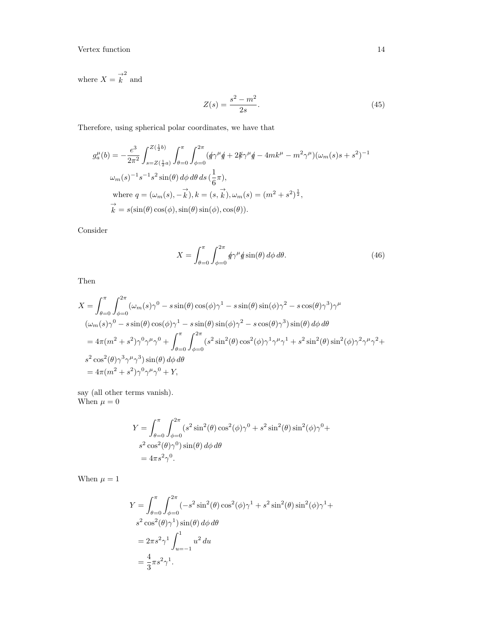where  $X = \overrightarrow{k}^2$  and

$$
Z(s) = \frac{s^2 - m^2}{2s}.
$$
\n(45)

Therefore, using spherical polar coordinates, we have that

$$
g_a^{\mu}(b) = -\frac{e^3}{2\pi^2} \int_{s=Z(\frac{1}{2}a)}^{Z(\frac{1}{2}b)} \int_{\theta=0}^{\pi} \int_{\phi=0}^{2\pi} (q\gamma^{\mu}q + 2k\gamma^{\mu}q - 4mk^{\mu} - m^2\gamma^{\mu})(\omega_m(s)s + s^2)^{-1}
$$
  

$$
\omega_m(s)^{-1}s^{-1}s^2 \sin(\theta) d\phi d\theta ds (\frac{1}{6}\pi),
$$
  
where  $q = (\omega_m(s), -\vec{k}), k = (s, \vec{k}), \omega_m(s) = (m^2 + s^2)^{\frac{1}{2}},$   
 $\vec{k} = s(\sin(\theta)\cos(\phi), \sin(\theta)\sin(\phi), \cos(\theta)).$ 

Consider

$$
X = \int_{\theta=0}^{\pi} \int_{\phi=0}^{2\pi} \phi \gamma^{\mu} \phi \sin(\theta) d\phi d\theta.
$$
 (46)

Then

$$
X = \int_{\theta=0}^{\pi} \int_{\phi=0}^{2\pi} (\omega_m(s)\gamma^0 - s\sin(\theta)\cos(\phi)\gamma^1 - s\sin(\theta)\sin(\phi)\gamma^2 - s\cos(\theta)\gamma^3)\gamma^\mu
$$
  

$$
(\omega_m(s)\gamma^0 - s\sin(\theta)\cos(\phi)\gamma^1 - s\sin(\theta)\sin(\phi)\gamma^2 - s\cos(\theta)\gamma^3)\sin(\theta) d\phi d\theta
$$
  

$$
= 4\pi(m^2 + s^2)\gamma^0\gamma^\mu\gamma^0 + \int_{\theta=0}^{\pi} \int_{\phi=0}^{2\pi} (s^2\sin^2(\theta)\cos^2(\phi)\gamma^1\gamma^\mu\gamma^1 + s^2\sin^2(\theta)\sin^2(\phi)\gamma^2\gamma^\mu\gamma^2 +
$$
  

$$
s^2\cos^2(\theta)\gamma^3\gamma^\mu\gamma^3)\sin(\theta) d\phi d\theta
$$
  

$$
= 4\pi(m^2 + s^2)\gamma^0\gamma^\mu\gamma^0 + Y,
$$

say (all other terms vanish). When  $\mu=0$ 

$$
Y = \int_{\theta=0}^{\pi} \int_{\phi=0}^{2\pi} (s^2 \sin^2(\theta) \cos^2(\phi) \gamma^0 + s^2 \sin^2(\theta) \sin^2(\phi) \gamma^0 + s^2 \cos^2(\theta) \gamma^0) \sin(\theta) d\phi d\theta
$$
  
=  $4\pi s^2 \gamma^0$ .

When  $\mu=1$ 

$$
Y = \int_{\theta=0}^{\pi} \int_{\phi=0}^{2\pi} (-s^2 \sin^2(\theta) \cos^2(\phi) \gamma^1 + s^2 \sin^2(\theta) \sin^2(\phi) \gamma^1 + s^2 \cos^2(\theta) \gamma^1) \sin(\theta) d\phi d\theta
$$
  
=  $2\pi s^2 \gamma^1 \int_{u=-1}^1 u^2 du$   
=  $\frac{4}{3} \pi s^2 \gamma^1$ .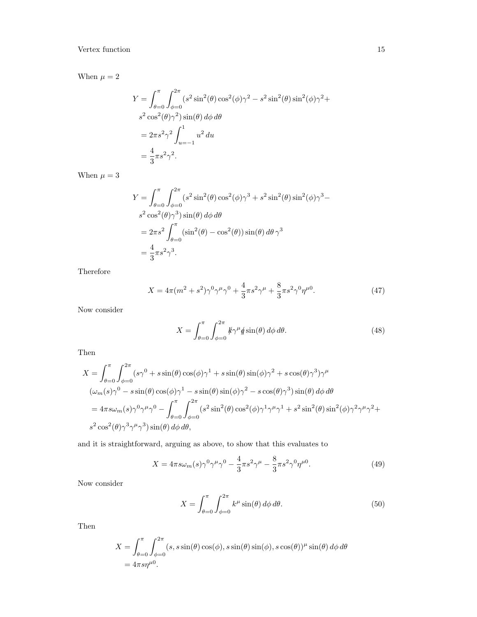When  $\mu=2$ 

$$
Y = \int_{\theta=0}^{\pi} \int_{\phi=0}^{2\pi} (s^2 \sin^2(\theta) \cos^2(\phi) \gamma^2 - s^2 \sin^2(\theta) \sin^2(\phi) \gamma^2 + s^2 \cos^2(\theta) \gamma^2) \sin(\theta) d\phi d\theta
$$
  
=  $2\pi s^2 \gamma^2 \int_{u=-1}^{1} u^2 du$   
=  $\frac{4}{3} \pi s^2 \gamma^2$ .

When  $\mu = 3$ 

$$
Y = \int_{\theta=0}^{\pi} \int_{\phi=0}^{2\pi} (s^2 \sin^2(\theta) \cos^2(\phi) \gamma^3 + s^2 \sin^2(\theta) \sin^2(\phi) \gamma^3 - s^2 \cos^2(\theta) \gamma^3) \sin(\theta) d\phi d\theta
$$
  
=  $2\pi s^2 \int_{\theta=0}^{\pi} (\sin^2(\theta) - \cos^2(\theta)) \sin(\theta) d\theta \gamma^3$   
=  $\frac{4}{3} \pi s^2 \gamma^3$ .

Therefore

<span id="page-14-0"></span>
$$
X = 4\pi (m^2 + s^2)\gamma^0\gamma^\mu\gamma^0 + \frac{4}{3}\pi s^2\gamma^\mu + \frac{8}{3}\pi s^2\gamma^0\eta^{\mu 0}.
$$
 (47)

Now consider

$$
X = \int_{\theta=0}^{\pi} \int_{\phi=0}^{2\pi} \frac{k}{\gamma} \psi \sin(\theta) \, d\phi \, d\theta. \tag{48}
$$

Then

$$
X = \int_{\theta=0}^{\pi} \int_{\phi=0}^{2\pi} (s\gamma^0 + s\sin(\theta)\cos(\phi)\gamma^1 + s\sin(\theta)\sin(\phi)\gamma^2 + s\cos(\theta)\gamma^3)\gamma^{\mu}
$$
  

$$
(\omega_m(s)\gamma^0 - s\sin(\theta)\cos(\phi)\gamma^1 - s\sin(\theta)\sin(\phi)\gamma^2 - s\cos(\theta)\gamma^3)\sin(\theta) d\phi d\theta
$$

$$
= 4\pi s\omega_m(s)\gamma^0\gamma^{\mu}\gamma^0 - \int_{\theta=0}^{\pi} \int_{\phi=0}^{2\pi} (s^2\sin^2(\theta)\cos^2(\phi)\gamma^1\gamma^{\mu}\gamma^1 + s^2\sin^2(\theta)\sin^2(\phi)\gamma^2\gamma^{\mu}\gamma^2 + s^2\cos^2(\theta)\gamma^3\gamma^{\mu}\gamma^3)\sin(\theta) d\phi d\theta,
$$

and it is straightforward, arguing as above, to show that this evaluates to

$$
X = 4\pi s \omega_m(s) \gamma^0 \gamma^\mu \gamma^0 - \frac{4}{3} \pi s^2 \gamma^\mu - \frac{8}{3} \pi s^2 \gamma^0 \eta^{\mu 0}.
$$
 (49)

Now consider

$$
X = \int_{\theta=0}^{\pi} \int_{\phi=0}^{2\pi} k^{\mu} \sin(\theta) d\phi d\theta.
$$
 (50)

Then

$$
X = \int_{\theta=0}^{\pi} \int_{\phi=0}^{2\pi} (s, s \sin(\theta) \cos(\phi), s \sin(\theta) \sin(\phi), s \cos(\theta))^{\mu} \sin(\theta) d\phi d\theta
$$
  
=  $4\pi s \eta^{\mu 0}$ .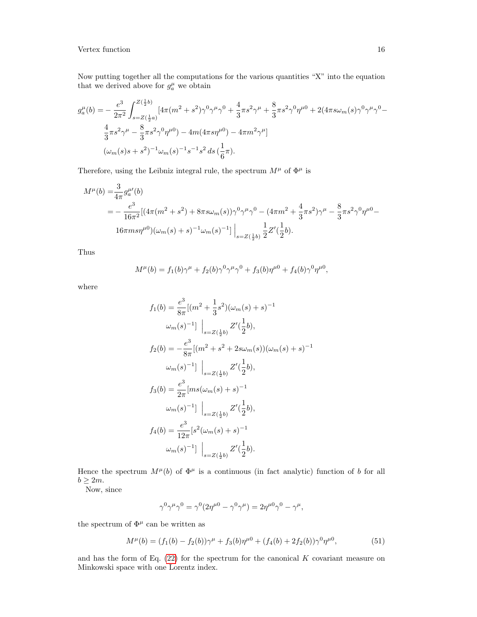Now putting together all the computations for the various quantities "X" into the equation that we derived above for  $g_a^{\mu}$  we obtain

$$
g_{a}^{\mu}(b) = -\frac{e^{3}}{2\pi^{2}} \int_{s=Z(\frac{1}{2}a)}^{Z(\frac{1}{2}b)} [4\pi (m^{2} + s^{2})\gamma^{0}\gamma^{\mu}\gamma^{0} + \frac{4}{3}\pi s^{2}\gamma^{\mu} + \frac{8}{3}\pi s^{2}\gamma^{0}\eta^{\mu 0} + 2(4\pi s\omega_{m}(s)\gamma^{0}\gamma^{\mu}\gamma^{0} - \frac{4}{3}\pi s^{2}\gamma^{\mu} - \frac{8}{3}\pi s^{2}\gamma^{0}\eta^{\mu 0}) - 4m(4\pi s\eta^{\mu 0}) - 4\pi m^{2}\gamma^{\mu}]
$$
  

$$
(\omega_{m}(s)s + s^{2})^{-1}\omega_{m}(s)^{-1}s^{-1}s^{2}ds(\frac{1}{6}\pi).
$$

Therefore, using the Leibniz integral rule, the spectrum  $M^\mu$  of  $\Phi^\mu$  is

$$
M^{\mu}(b) = \frac{3}{4\pi} g_{a}^{\mu}(b)
$$
  
=  $-\frac{e^{3}}{16\pi^{2}} [(4\pi (m^{2} + s^{2}) + 8\pi s\omega_{m}(s))\gamma^{0}\gamma^{\mu}\gamma^{0} - (4\pi m^{2} + \frac{4}{3}\pi s^{2})\gamma^{\mu} - \frac{8}{3}\pi s^{2}\gamma^{0}\eta^{\mu 0} -$   
 $16\pi m s \eta^{\mu 0} ) (\omega_{m}(s) + s)^{-1} \omega_{m}(s)^{-1}] \Big|_{s = Z(\frac{1}{2}b)} \frac{1}{2} Z'(\frac{1}{2}b).$ 

Thus

$$
M^{\mu}(b) = f_1(b)\gamma^{\mu} + f_2(b)\gamma^0\gamma^{\mu}\gamma^0 + f_3(b)\eta^{\mu 0} + f_4(b)\gamma^0\eta^{\mu 0},
$$

where

$$
f_1(b) = \frac{e^3}{8\pi} [(m^2 + \frac{1}{3}s^2)(\omega_m(s) + s)^{-1}
$$
  
\n
$$
\omega_m(s)^{-1}] \Big|_{s=Z(\frac{1}{2}b)} Z'(\frac{1}{2}b),
$$
  
\n
$$
f_2(b) = -\frac{e^3}{8\pi} [(m^2 + s^2 + 2s\omega_m(s))(\omega_m(s) + s)^{-1}
$$
  
\n
$$
\omega_m(s)^{-1}] \Big|_{s=Z(\frac{1}{2}b)} Z'(\frac{1}{2}b),
$$
  
\n
$$
f_3(b) = \frac{e^3}{2\pi} [ms(\omega_m(s) + s)^{-1}
$$
  
\n
$$
\omega_m(s)^{-1}] \Big|_{s=Z(\frac{1}{2}b)} Z'(\frac{1}{2}b),
$$
  
\n
$$
f_4(b) = \frac{e^3}{12\pi} [s^2(\omega_m(s) + s)^{-1}
$$
  
\n
$$
\omega_m(s)^{-1}] \Big|_{s=Z(\frac{1}{2}b)} Z'(\frac{1}{2}b).
$$

Hence the spectrum  $M^{\mu}(b)$  of  $\Phi^{\mu}$  is a continuous (in fact analytic) function of b for all  $b \geq 2m$ .

Now, since

$$
\gamma^0\gamma^\mu\gamma^0=\gamma^0(2\eta^{\mu 0}-\gamma^0\gamma^\mu)=2\eta^{\mu 0}\gamma^0-\gamma^\mu,
$$

the spectrum of  $\Phi^{\mu}$  can be written as

<span id="page-15-0"></span>
$$
M^{\mu}(b) = (f_1(b) - f_2(b))\gamma^{\mu} + f_3(b)\eta^{\mu 0} + (f_4(b) + 2f_2(b))\gamma^0\eta^{\mu 0},
$$
\n(51)

and has the form of Eq.  $(22)$  for the spectrum for the canonical K covariant measure on Minkowski space with one Lorentz index.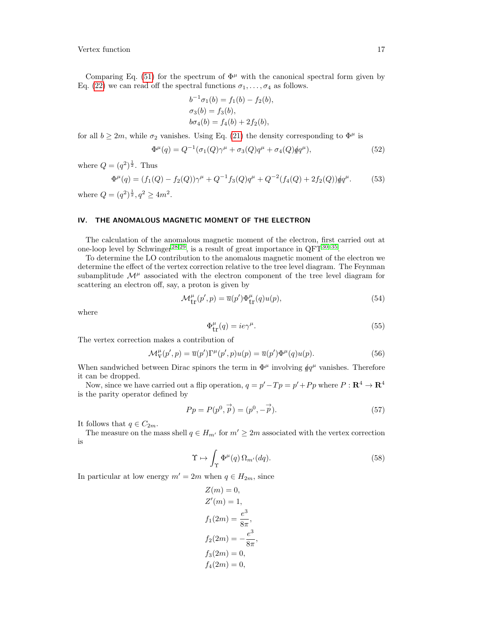Comparing Eq. [\(51\)](#page-15-0) for the spectrum of  $\Phi^{\mu}$  with the canonical spectral form given by Eq. [\(22\)](#page-7-3) we can read off the spectral functions  $\sigma_1, \ldots, \sigma_4$  as follows.

$$
b^{-1}\sigma_1(b) = f_1(b) - f_2(b),
$$
  
\n
$$
\sigma_3(b) = f_3(b),
$$
  
\n
$$
b\sigma_4(b) = f_4(b) + 2f_2(b),
$$

for all  $b \geq 2m$ , while  $\sigma_2$  vanishes. Using Eq. [\(21\)](#page-6-1) the density corresponding to  $\Phi^{\mu}$  is

$$
\Phi^{\mu}(q) = Q^{-1}(\sigma_1(Q)\gamma^{\mu} + \sigma_3(Q)q^{\mu} + \sigma_4(Q)\phi q^{\mu}), \qquad (52)
$$

where  $Q=(q^2)^{\frac{1}{2}}$ . Thus

$$
\Phi^{\mu}(q) = (f_1(Q) - f_2(Q))\gamma^{\mu} + Q^{-1}f_3(Q)q^{\mu} + Q^{-2}(f_4(Q) + 2f_2(Q))\dot{q}q^{\mu}.
$$
 (53)

where  $Q = (q^2)^{\frac{1}{2}}, q^2 \ge 4m^2$ .

#### <span id="page-16-0"></span>IV. THE ANOMALOUS MAGNETIC MOMENT OF THE ELECTRON

The calculation of the anomalous magnetic moment of the electron, first carried out at one-loop level by Schwinger<sup>[28,](#page-35-23)[29](#page-35-24)</sup>, is a result of great importance in  $QFT^{30-35}$  $QFT^{30-35}$  $QFT^{30-35}$ .

To determine the LO contribution to the anomalous magnetic moment of the electron we determine the effect of the vertex correction relative to the tree level diagram. The Feynman subamplitude  $\mathcal{M}^{\mu}$  associated with the electron component of the tree level diagram for scattering an electron off, say, a proton is given by

$$
\mathcal{M}^{\mu}_{\text{tr}}(p',p) = \overline{u}(p')\Phi^{\mu}_{\text{tr}}(q)u(p),\tag{54}
$$

where

$$
\Phi_{\text{tr}}^{\mu}(q) = ie\gamma^{\mu}.
$$
\n(55)

The vertex correction makes a contribution of

$$
\mathcal{M}_{\mathcal{V}}^{\mu}(p',p) = \overline{u}(p')\Gamma^{\mu}(p',p)u(p) = \overline{u}(p')\Phi^{\mu}(q)u(p). \tag{56}
$$

When sandwiched between Dirac spinors the term in  $\Phi^{\mu}$  involving  $\phi q^{\mu}$  vanishes. Therefore it can be dropped.

Now, since we have carried out a flip operation,  $q = p' - Tp = p' + Pp$  where  $P : \mathbb{R}^4 \to \mathbb{R}^4$ is the parity operator defined by

$$
Pp = P(p^0, \vec{p}) = (p^0, -\vec{p}).\tag{57}
$$

It follows that  $q \in C_{2m}$ .

The measure on the mass shell  $q \in H_{m'}$  for  $m' \geq 2m$  associated with the vertex correction is

$$
\Upsilon \mapsto \int_{\Upsilon} \Phi^{\mu}(q) \,\Omega_{m'}(dq). \tag{58}
$$

In particular at low energy  $m' = 2m$  when  $q \in H_{2m}$ , since

$$
Z(m) = 0,
$$
  
\n
$$
Z'(m) = 1,
$$
  
\n
$$
f_1(2m) = \frac{e^3}{8\pi},
$$
  
\n
$$
f_2(2m) = -\frac{e^3}{8\pi},
$$
  
\n
$$
f_3(2m) = 0,
$$
  
\n
$$
f_4(2m) = 0,
$$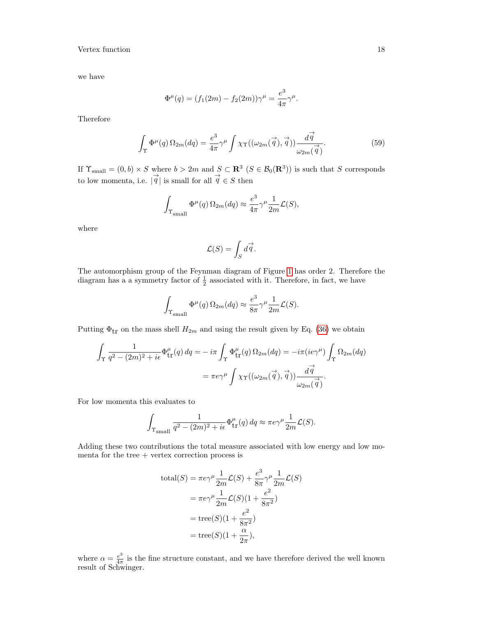we have

$$
\Phi^{\mu}(q) = (f_1(2m) - f_2(2m))\gamma^{\mu} = \frac{e^3}{4\pi}\gamma^{\mu}.
$$

Therefore

$$
\int_{\Upsilon} \Phi^{\mu}(q) \,\Omega_{2m}(dq) = \frac{e^3}{4\pi} \gamma^{\mu} \int \chi_{\Upsilon}((\omega_{2m}(\vec{q}), \vec{q})) \frac{d\vec{q}}{\omega_{2m}(\vec{q})}.
$$
\n(59)

If  $\Upsilon_{\text{small}} = (0, b) \times S$  where  $b > 2m$  and  $S \subset \mathbb{R}^3$   $(S \in \mathcal{B}_0(\mathbb{R}^3))$  is such that S corresponds to low momenta, i.e.  $|\vec{q}|$  is small for all  $\vec{q} \in S$  then

$$
\int_{\Upsilon_{\text{small}}} \Phi^{\mu}(q) \,\Omega_{2m}(dq) \approx \frac{e^3}{4\pi} \gamma^{\mu} \frac{1}{2m} \mathcal{L}(S),
$$

where

$$
\mathcal{L}(S) = \int_S d\vec{q}.
$$

The automorphism group of the Feynman diagram of Figure [1](#page-8-1) has order 2. Therefore the diagram has a a symmetry factor of  $\frac{1}{2}$  associated with it. Therefore, in fact, we have

$$
\int_{\Upsilon_{\text{small}}} \Phi^{\mu}(q) \,\Omega_{2m}(dq) \approx \frac{e^3}{8\pi} \gamma^{\mu} \frac{1}{2m} \mathcal{L}(S).
$$

Putting  $\Phi_{tr}$  on the mass shell  $H_{2m}$  and using the result given by Eq. [\(36\)](#page-9-2) we obtain

$$
\int_{\Upsilon} \frac{1}{q^2 - (2m)^2 + i\epsilon} \Phi_{\text{tr}}^{\mu}(q) \, dq = -i\pi \int_{\Upsilon} \Phi_{\text{tr}}^{\mu}(q) \, \Omega_{2m}(dq) = -i\pi (ie\gamma^{\mu}) \int_{\Upsilon} \Omega_{2m}(dq)
$$
\n
$$
= \pi e \gamma^{\mu} \int \chi_{\Upsilon}((\omega_{2m}(\vec{q}), \vec{q})) \frac{d\vec{q}}{\omega_{2m}(\vec{q})}.
$$

For low momenta this evaluates to

$$
\int_{\Upsilon_{\text{small}}} \frac{1}{q^2 - (2m)^2 + i\epsilon} \Phi_{\text{tr}}^{\mu}(q) \, dq \approx \pi e \gamma^{\mu} \frac{1}{2m} \mathcal{L}(S).
$$

Adding these two contributions the total measure associated with low energy and low momenta for the tree  $+$  vertex correction process is

$$
\text{total}(S) = \pi e \gamma^{\mu} \frac{1}{2m} \mathcal{L}(S) + \frac{e^3}{8\pi} \gamma^{\mu} \frac{1}{2m} \mathcal{L}(S)
$$

$$
= \pi e \gamma^{\mu} \frac{1}{2m} \mathcal{L}(S)(1 + \frac{e^2}{8\pi^2})
$$

$$
= \text{tree}(S)(1 + \frac{e^2}{8\pi^2})
$$

$$
= \text{tree}(S)(1 + \frac{\alpha}{2\pi}),
$$

where  $\alpha = \frac{e^2}{4\pi}$  $\frac{e^2}{4\pi}$  is the fine structure constant, and we have therefore derived the well known result of Schwinger.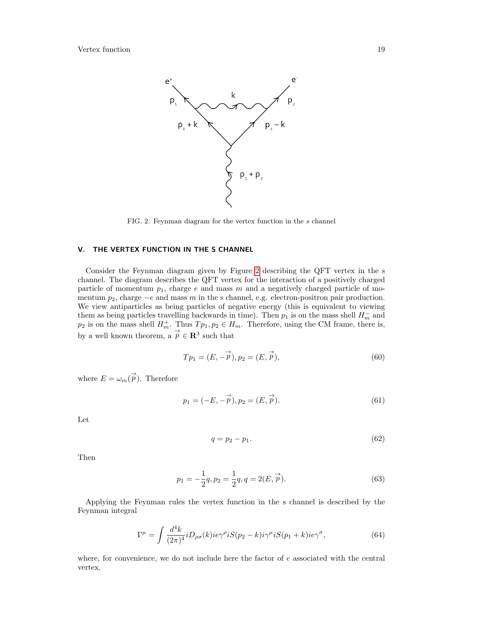

<span id="page-18-1"></span>FIG. 2. Feynman diagram for the vertex function in the s channel

# <span id="page-18-0"></span>V. THE VERTEX FUNCTION IN THE S CHANNEL

Consider the Feynman diagram given by Figure [2](#page-18-1) describing the QFT vertex in the s channel. The diagram describes the QFT vertex for the interaction of a positively charged particle of momentum  $p_1$ , charge e and mass m and a negatively charged particle of momentum  $p_2$ , charge  $-e$  and mass m in the s channel, e.g. electron-positron pair production. We view antiparticles as being particles of negative energy (this is equivalent to viewing them as being particles travelling backwards in time). Then  $p_1$  is on the mass shell  $H_m^-$  and  $p_2$  is on the mass shell  $H_m^+$ . Thus  $Tp_1, p_2 \in H_m$ . Therefore, using the CM frame, there is, by a well known theorem, a  $\overrightarrow{p} \in \mathbb{R}^3$  such that

$$
Tp_1 = (E, -\vec{p}), p_2 = (E, \vec{p}),
$$
\n(60)

where  $E = \omega_m(\vec{p})$ . Therefore

$$
p_1 = (-E, -\vec{p}), p_2 = (E, \vec{p}).
$$
\n(61)

Let

<span id="page-18-4"></span>
$$
q = p_2 - p_1. \tag{62}
$$

Then

<span id="page-18-3"></span>
$$
p_1 = -\frac{1}{2}q, p_2 = \frac{1}{2}q, q = 2(E, \vec{p}).
$$
\n(63)

Applying the Feynman rules the vertex function in the s channel is described by the Feynman integral

<span id="page-18-2"></span>
$$
\Gamma^{\mu} = \int \frac{d^4k}{(2\pi)^4} i D_{\rho\sigma}(k) i e \gamma^{\rho} i S(p_2 - k) i \gamma^{\mu} i S(p_1 + k) i e \gamma^{\sigma}, \tag{64}
$$

where, for convenience, we do not include here the factor of  $e$  associated with the central vertex.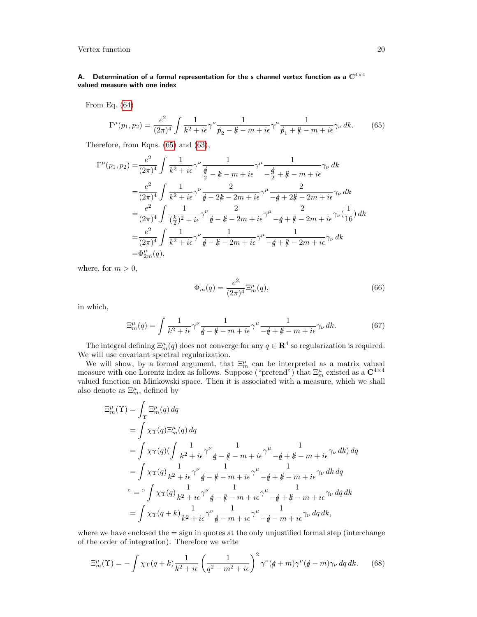# <span id="page-19-0"></span>A. Determination of a formal representation for the s channel vertex function as a  $C^{4\times 4}$ valued measure with one index

From Eq. [\(64\)](#page-18-2)

<span id="page-19-1"></span>
$$
\Gamma^{\mu}(p_1, p_2) = \frac{e^2}{(2\pi)^4} \int \frac{1}{k^2 + i\epsilon} \gamma^{\nu} \frac{1}{p_2 - k - m + i\epsilon} \gamma^{\mu} \frac{1}{p_1 + k - m + i\epsilon} \gamma_{\nu} dk.
$$
 (65)

Therefore, from Eqns. [\(65\)](#page-19-1) and [\(63\)](#page-18-3),

$$
\Gamma^{\mu}(p_{1},p_{2}) = \frac{e^{2}}{(2\pi)^{4}} \int \frac{1}{k^{2} + i\epsilon} \gamma^{\nu} \frac{1}{\frac{d}{2} - \frac{\mu}{k} - m + i\epsilon} \gamma^{\mu} \frac{1}{-\frac{d}{2} + \frac{\mu}{k} - m + i\epsilon} \gamma_{\nu} dk
$$
  
\n
$$
= \frac{e^{2}}{(2\pi)^{4}} \int \frac{1}{k^{2} + i\epsilon} \gamma^{\nu} \frac{2}{\frac{d}{2} - 2\frac{\mu}{k} - 2m + i\epsilon} \gamma^{\mu} \frac{2}{-\frac{d}{2} + 2\frac{\mu}{k} - 2m + i\epsilon} \gamma_{\nu} dk
$$
  
\n
$$
= \frac{e^{2}}{(2\pi)^{4}} \int \frac{1}{(\frac{k}{2})^{2} + i\epsilon} \gamma^{\nu} \frac{2}{\frac{d}{2} - \frac{\mu}{k} - 2m + i\epsilon} \gamma^{\mu} \frac{2}{-\frac{d}{2} + \frac{\mu}{k} - 2m + i\epsilon} \gamma_{\nu} (\frac{1}{16}) dk
$$
  
\n
$$
= \frac{e^{2}}{(2\pi)^{4}} \int \frac{1}{k^{2} + i\epsilon} \gamma^{\nu} \frac{1}{\frac{d}{2} - \frac{\mu}{k} - 2m + i\epsilon} \gamma^{\mu} \frac{1}{-\frac{d}{2} + \frac{\mu}{k} - 2m + i\epsilon} \gamma_{\nu} dk
$$
  
\n
$$
= \Phi_{2m}^{\mu}(q),
$$

where, for  $m > 0$ ,

$$
\Phi_m(q) = \frac{e^2}{(2\pi)^4} \Xi_m^{\mu}(q),\tag{66}
$$

in which,

<span id="page-19-2"></span>
$$
\Xi_m^{\mu}(q) = \int \frac{1}{k^2 + i\epsilon} \gamma^{\nu} \frac{1}{\not{q} - \not{k} - m + i\epsilon} \gamma^{\mu} \frac{1}{-\not{q} + \not{k} - m + i\epsilon} \gamma_{\nu} \, dk. \tag{67}
$$

The integral defining  $\Xi_m^{\mu}(q)$  does not converge for any  $q \in \mathbb{R}^4$  so regularization is required. We will use covariant spectral regularization.

We will show, by a formal argument, that  $\Xi_m^{\mu}$  can be interpreted as a matrix valued measure with one Lorentz index as follows. Suppose ("pretend") that  $\Xi_m^{\mu}$  existed as a  $\mathbb{C}^{4\times 4}$ valued function on Minkowski space. Then it is associated with a measure, which we shall also denote as  $\Xi_m^{\mu}$ , defined by

$$
\begin{split} \Xi_m^{\mu}(\Upsilon) &= \int_{\Upsilon} \Xi_m^{\mu}(q) \, dq \\ &= \int \chi_{\Upsilon}(q) \Xi_m^{\mu}(q) \, dq \\ &= \int \chi_{\Upsilon}(q) \Big( \int \frac{1}{k^2 + i\epsilon} \gamma^{\nu} \frac{1}{\rlap/q - \rlap/\ell - m + i\epsilon} \gamma^{\mu} \frac{1}{-\rlap/q + \rlap/\ell - m + i\epsilon} \gamma_{\nu} \, dk \Big) \, dq \\ &= \int \chi_{\Upsilon}(q) \frac{1}{k^2 + i\epsilon} \gamma^{\nu} \frac{1}{\rlap/q - \rlap/\ell - m + i\epsilon} \gamma^{\mu} \frac{1}{-\rlap/q + \rlap/\ell - m + i\epsilon} \gamma_{\nu} \, dk \, dq \\ &\text{where} \quad \gamma = \gamma \int \chi_{\Upsilon}(q) \frac{1}{k^2 + i\epsilon} \gamma^{\nu} \frac{1}{\rlap/q - \rlap/\ell - m + i\epsilon} \gamma^{\mu} \frac{1}{-\rlap/q + \rlap/\ell - m + i\epsilon} \gamma_{\nu} \, dq \, dk \\ &= \int \chi_{\Upsilon}(q + k) \frac{1}{k^2 + i\epsilon} \gamma^{\nu} \frac{1}{\rlap/q - m + i\epsilon} \gamma^{\mu} \frac{1}{-\rlap/q - m + i\epsilon} \gamma_{\nu} \, dq \, dk, \end{split}
$$

where we have enclosed the  $=$  sign in quotes at the only unjustified formal step (interchange of the order of integration). Therefore we write

<span id="page-19-3"></span>
$$
\Xi_m^{\mu}(\Upsilon) = -\int \chi_{\Upsilon}(q+k) \frac{1}{k^2 + i\epsilon} \left(\frac{1}{q^2 - m^2 + i\epsilon}\right)^2 \gamma^{\nu} (q+m) \gamma^{\mu} (q-m) \gamma_{\nu} dq dk. \tag{68}
$$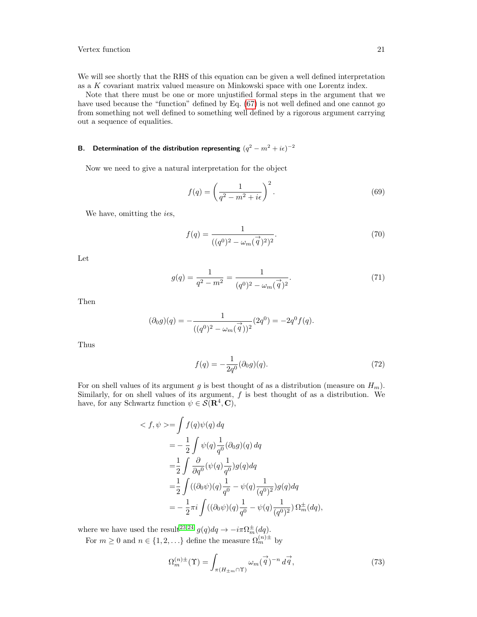We will see shortly that the RHS of this equation can be given a well defined interpretation as a K covariant matrix valued measure on Minkowski space with one Lorentz index.

Note that there must be one or more unjustified formal steps in the argument that we have used because the "function" defined by Eq. [\(67\)](#page-19-2) is not well defined and one cannot go from something not well defined to something well defined by a rigorous argument carrying out a sequence of equalities.

## <span id="page-20-0"></span>B. Determination of the distribution representing  $(q^2 - m^2 + i\epsilon)^{-2}$

Now we need to give a natural interpretation for the object

<span id="page-20-1"></span>
$$
f(q) = \left(\frac{1}{q^2 - m^2 + i\epsilon}\right)^2.
$$
\n(69)

We have, omitting the  $i\epsilon s$ ,

$$
f(q) = \frac{1}{((q^0)^2 - \omega_m(\vec{q})^2)^2}.
$$
\n(70)

Let

$$
g(q) = \frac{1}{q^2 - m^2} = \frac{1}{(q^0)^2 - \omega_m(\vec{q})^2}.
$$
\n(71)

Then

$$
(\partial_0 g)(q) = -\frac{1}{((q^0)^2 - \omega_m(\vec{q}))^2} (2q^0) = -2q^0 f(q).
$$

Thus

$$
f(q) = -\frac{1}{2q^0} (\partial_0 g)(q). \tag{72}
$$

For on shell values of its argument g is best thought of as a distribution (measure on  $H_m$ ). Similarly, for on shell values of its argument,  $f$  is best thought of as a distribution. We have, for any Schwartz function  $\psi \in \mathcal{S}(\mathbf{R}^4, \mathbf{C}),$ 

$$
\langle f, \psi \rangle = \int f(q)\psi(q) \, dq
$$
  
=  $-\frac{1}{2} \int \psi(q) \frac{1}{q^0} (\partial_0 g)(q) \, dq$   
=  $\frac{1}{2} \int \frac{\partial}{\partial q^0} (\psi(q) \frac{1}{q^0}) g(q) dq$   
=  $\frac{1}{2} \int ((\partial_0 \psi)(q) \frac{1}{q^0} - \psi(q) \frac{1}{(q^0)^2}) g(q) dq$   
=  $-\frac{1}{2} \pi i \int ((\partial_0 \psi)(q) \frac{1}{q^0} - \psi(q) \frac{1}{(q^0)^2}) \Omega_m^{\pm}(dq),$ 

where we have used the result<sup>[23,](#page-35-22)[24](#page-35-21)</sup>  $g(q)dq \to -i\pi\Omega_{m}^{\pm}(dq)$ . For  $m \geq 0$  and  $n \in \{1, 2, \ldots\}$  define the measure  $\Omega_m^{(n) \pm}$  by

$$
\Omega_m^{(n)\pm}(\Upsilon) = \int_{\pi(H_{\pm m}\cap\Upsilon)} \omega_m(\vec{q})^{-n} d\vec{q},\tag{73}
$$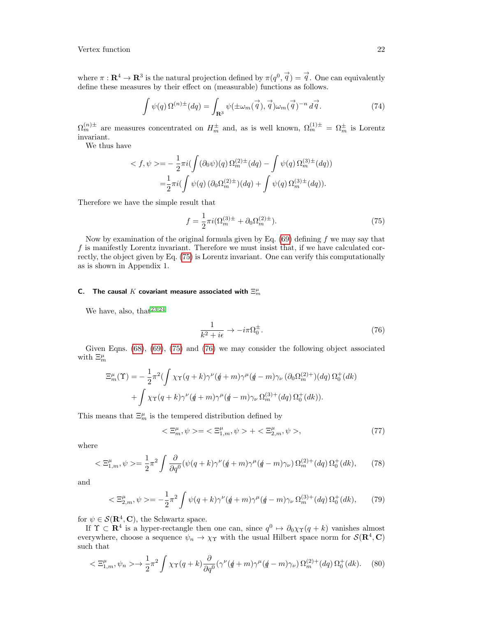where  $\pi : \mathbf{R}^4 \to \mathbf{R}^3$  is the natural projection defined by  $\pi(q^0, \vec{q}) = \vec{q}$ . One can equivalently define these measures by their effect on (measurable) functions as follows.

$$
\int \psi(q) \,\Omega^{(n)\pm}(dq) = \int_{\mathbf{R}^3} \psi(\pm \omega_m(\vec{q}), \vec{q}) \omega_m(\vec{q})^{-n} \, d\vec{q} \,. \tag{74}
$$

 $\Omega_m^{(n)\pm}$  are measures concentrated on  $H_m^{\pm}$  and, as is well known,  $\Omega_m^{(1)\pm} = \Omega_m^{\pm}$  is Lorentz invariant.

We thus have

$$
\langle f, \psi \rangle = -\frac{1}{2} \pi i \left( \int (\partial_0 \psi)(q) \, \Omega_m^{(2)\pm}(dq) - \int \psi(q) \, \Omega_m^{(3)\pm}(dq) \right)
$$
  
= 
$$
\frac{1}{2} \pi i \left( \int \psi(q) \, (\partial_0 \Omega_m^{(2)\pm})(dq) + \int \psi(q) \, \Omega_m^{(3)\pm}(dq) \right).
$$

Therefore we have the simple result that

<span id="page-21-1"></span>
$$
f = \frac{1}{2}\pi i (\Omega_m^{(3)\pm} + \partial_0 \Omega_m^{(2)\pm}).
$$
\n(75)

Now by examination of the original formula given by Eq.  $(69)$  defining f we may say that  $f$  is manifestly Lorentz invariant. Therefore we must insist that, if we have calculated correctly, the object given by Eq. [\(75\)](#page-21-1) is Lorentz invariant. One can verify this computationally as is shown in Appendix 1.

# <span id="page-21-0"></span>C. The causal  $K$  covariant measure associated with  $\Xi_{m}^{\mu}$

We have, also, that  $23,24$  $23,24$ 

<span id="page-21-2"></span>
$$
\frac{1}{k^2 + i\epsilon} \to -i\pi \Omega_0^{\pm}.
$$
 (76)

Given Eqns. [\(68\)](#page-19-3), [\(69\)](#page-20-1), [\(75\)](#page-21-1) and [\(76\)](#page-21-2) we may consider the following object associated with  $\Xi_{m}^{\mu}$ 

$$
\Xi_m^{\mu}(\Upsilon) = -\frac{1}{2}\pi^2 \left(\int \chi \gamma (q+k)\gamma^{\nu} (q+m)\gamma^{\mu} (q-m)\gamma_{\nu} (\partial_0 \Omega_m^{(2)+}) (dq) \Omega_0^+(dk)\right) + \int \chi \gamma (q+k)\gamma^{\nu} (q+m)\gamma^{\mu} (q-m)\gamma_{\nu} \Omega_m^{(3)+}(dq) \Omega_0^+(dk)).
$$

This means that  $\Xi_{m}^{\mu}$  is the tempered distribution defined by

$$
\langle \Xi_m^{\mu}, \psi \rangle = \langle \Xi_{1,m}^{\mu}, \psi \rangle + \langle \Xi_{2,m}^{\mu}, \psi \rangle, \tag{77}
$$

where

$$
\langle \Xi_{1,m}^{\mu}, \psi \rangle = \frac{1}{2} \pi^2 \int \frac{\partial}{\partial q^0} (\psi(q+k) \gamma^{\nu} (\not q+m) \gamma^{\mu} (\not q-m) \gamma_{\nu}) \Omega_m^{(2)+}(dq) \Omega_0^+(dk), \tag{78}
$$

and

$$
\langle \Xi_{2,m}^{\mu}, \psi \rangle = -\frac{1}{2}\pi^2 \int \psi(q+k)\gamma^{\nu}(q+m)\gamma^{\mu}(q-m)\gamma_{\nu} \Omega_m^{(3)+}(dq) \Omega_0^+(dk), \tag{79}
$$

for  $\psi \in \mathcal{S}(\mathbf{R}^4, \mathbf{C})$ , the Schwartz space.

If  $\Upsilon \subset \mathbf{R}^4$  is a hyper-rectangle then one can, since  $q^0 \mapsto \partial_0 \chi_{\Upsilon}(q+k)$  vanishes almost everywhere, choose a sequence  $\psi_n \to \chi_{\Upsilon}$  with the usual Hilbert space norm for  $\mathcal{S}(\mathbf{R}^4, \mathbf{C})$ such that

<span id="page-21-3"></span>
$$
\langle \Xi_{1,m}^{\mu}, \psi_n \rangle \to \frac{1}{2} \pi^2 \int \chi \gamma(q+k) \frac{\partial}{\partial q^0} (\gamma^{\nu} (\not q+m) \gamma^{\mu} (\not q-m) \gamma_{\nu}) \Omega_m^{(2)+}(dq) \Omega_0^+(dk). \tag{80}
$$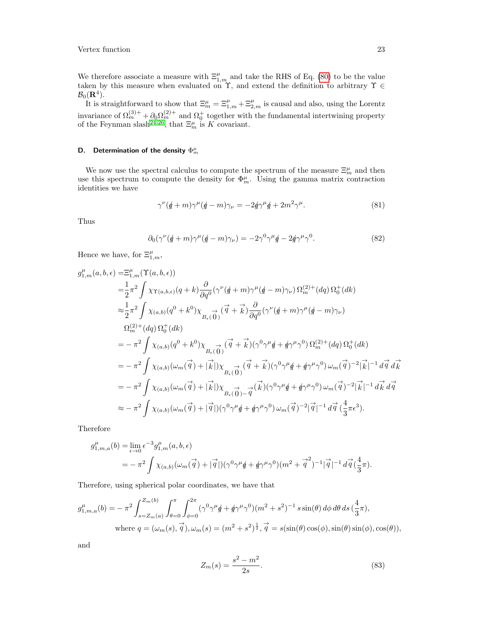We therefore associate a measure with  $\Xi_{1,m}^{\mu}$  and take the RHS of Eq. [\(80\)](#page-21-3) to be the value taken by this measure when evaluated on  $\Upsilon$ , and extend the definition to arbitrary  $\Upsilon \in$  $\mathcal{B}_0(\mathbf{R}^4).$ 

It is straightforward to show that  $\Xi_m^{\mu} = \Xi_{1,m}^{\mu} + \Xi_{2,m}^{\mu}$  is causal and also, using the Lorentz invariance of  $\Omega_m^{(3)+} + \partial_0 \Omega_m^{(2)+}$  and  $\Omega_0^+$  together with the fundamental intertwining property of the Feynman slash<sup>[24,](#page-35-21)[26](#page-35-19)</sup>, that  $\Xi_m^{\mu}$  is K covariant.

# <span id="page-22-0"></span>D. Determination of the density  $\Phi_m^\mu$

We now use the spectral calculus to compute the spectrum of the measure  $\Xi_{m}^{\mu}$  and then use this spectrum to compute the density for  $\Phi_m^{\mu}$ . Using the gamma matrix contraction identities we have

$$
\gamma^{\nu}(\phi + m)\gamma^{\mu}(\phi - m)\gamma_{\nu} = -2\phi\gamma^{\mu}\phi + 2m^2\gamma^{\mu}.
$$
\n(81)

Thus

$$
\partial_0(\gamma^{\nu}(\phi+m)\gamma^{\mu}(\phi-m)\gamma_{\nu}) = -2\gamma^0\gamma^{\mu}\phi - 2\phi\gamma^{\mu}\gamma^0. \tag{82}
$$

Hence we have, for  $\Xi^{\mu}_{1,m}$ ,

$$
g_{1,m}^{\mu}(a,b,\epsilon) = \Xi_{1,m}^{\mu}(\Upsilon(a,b,\epsilon))
$$
  
\n
$$
= \frac{1}{2}\pi^{2} \int \chi_{\Upsilon(a,b,\epsilon)}(q+k) \frac{\partial}{\partial q^{0}} (\gamma^{\nu}(\rlap{/}(\rlap{/}w + m)\gamma^{\mu}(\rlap{/}w - m)\gamma_{\nu}) \Omega_{m}^{(2)+}(dq) \Omega_{0}^{+}(dk)
$$
  
\n
$$
\approx \frac{1}{2}\pi^{2} \int \chi_{(a,b)}(q^{0} + k^{0}) \chi_{B_{\epsilon}(0)}(\vec{q} + \vec{k}) \frac{\partial}{\partial q^{0}} (\gamma^{\nu}(\rlap{/}w + m)\gamma^{\mu}(\rlap{/}w - m)\gamma_{\nu})
$$
  
\n
$$
\Omega_{m}^{(2)+}(dq) \Omega_{0}^{+}(dk)
$$
  
\n
$$
= -\pi^{2} \int \chi_{(a,b)}(q^{0} + k^{0}) \chi_{B_{\epsilon}(0)}(\vec{q} + \vec{k}) (\gamma^{0}\gamma^{\mu}\rlap{/}w + \rlap{/}w\gamma^{\mu}\gamma^{0}) \Omega_{m}^{(2)+}(dq) \Omega_{0}^{+}(dk)
$$
  
\n
$$
= -\pi^{2} \int \chi_{(a,b)}(\omega_{m}(\vec{q}) + |\vec{k}|) \chi_{B_{\epsilon}(0)}(\vec{q} + \vec{k}) (\gamma^{0}\gamma^{\mu}\rlap{/}w + \rlap{/}w\gamma^{\mu}\gamma^{0}) \omega_{m}(\vec{q})^{-2} |\vec{k}|^{-1} d\vec{q} d\vec{k}
$$
  
\n
$$
= -\pi^{2} \int \chi_{(a,b)}(\omega_{m}(\vec{q}) + |\vec{k}|) \chi_{B_{\epsilon}(0)} \frac{\partial}{\partial q} (\gamma^{\mu}\gamma^{\mu}\rlap{/}w + \rlap{/}w\gamma^{\mu}\gamma^{0}) \omega_{m}(\vec{q})^{-2} |\vec{k}|^{-1} d\vec{k} d\vec{q}
$$
  
\n
$$
\approx -\pi^{2} \int \chi_{(a,b)}(\omega_{m}(\vec{q}) + |\vec{q}|) (\gamma^{0}\gamma^{\mu}\rlap{/}w + \rlap{/}w\gamma^{\mu}\gamma^{0}) \omega_{m}(\vec{q})^{-2} |\vec{q}|^{-1} d\vec{q} (\frac{4}{3}\
$$

Therefore

$$
g_{1,m,a}^{\mu}(b) = \lim_{\epsilon \to 0} \epsilon^{-3} g_{1,m}^{\mu}(a,b,\epsilon)
$$
  
=  $-\pi^2 \int \chi_{(a,b)}(\omega_m(\vec{q}) + |\vec{q}|) (\gamma^0 \gamma^{\mu} \not{q} + \not{q} \gamma^{\mu} \gamma^0) (m^2 + \vec{q}^2)^{-1} |\vec{q}|^{-1} d\vec{q} (\frac{4}{3}\pi).$ 

Therefore, using spherical polar coordinates, we have that

$$
g_{1,m,a}^{\mu}(b) = -\pi^2 \int_{s=Z_m(a)}^{Z_m(b)} \int_{\theta=0}^{\pi} \int_{\phi=0}^{2\pi} (\gamma^0 \gamma^{\mu} \phi + \phi \gamma^{\mu} \gamma^0)(m^2 + s^2)^{-1} \sin(\theta) d\phi d\theta ds \left(\frac{4}{3}\pi\right),
$$
  
where  $q = (\omega_m(s), \vec{q}), \omega_m(s) = (m^2 + s^2)^{\frac{1}{2}}, \vec{q} = s(\sin(\theta) \cos(\phi), \sin(\theta) \sin(\phi), \cos(\theta)),$ 

and

$$
Z_m(s) = \frac{s^2 - m^2}{2s}.
$$
\n(83)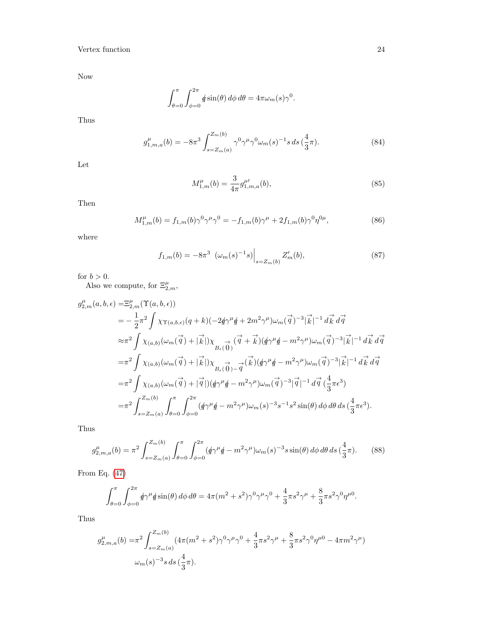Now

$$
\int_{\theta=0}^{\pi} \int_{\phi=0}^{2\pi} \phi \sin(\theta) \, d\phi \, d\theta = 4\pi \omega_m(s) \gamma^0.
$$

Thus

$$
g_{1,m,a}^{\mu}(b) = -8\pi^3 \int_{s=Z_m(a)}^{Z_m(b)} \gamma^0 \gamma^{\mu} \gamma^0 \omega_m(s)^{-1} s \, ds \left(\frac{4}{3}\pi\right). \tag{84}
$$

Let

$$
M_{1,m}^{\mu}(b) = \frac{3}{4\pi} g_{1,m,a}^{\mu\prime}(b),\tag{85}
$$

Then

<span id="page-23-0"></span>
$$
M_{1,m}^{\mu}(b) = f_{1,m}(b)\gamma^{0}\gamma^{\mu}\gamma^{0} = -f_{1,m}(b)\gamma^{\mu} + 2f_{1,m}(b)\gamma^{0}\eta^{0\mu}, \qquad (86)
$$

where

$$
f_{1,m}(b) = -8\pi^3 \left. (\omega_m(s)^{-1}s) \right|_{s = Z_m(b)} Z'_m(b), \tag{87}
$$

for  $b > 0$ .

Also we compute, for  $\Xi_{2,m}^{\mu}$ ,

$$
g_{2,m}^{\mu}(a,b,\epsilon) = \Xi_{2,m}^{\mu}(\Upsilon(a,b,\epsilon))
$$
  
\n
$$
= -\frac{1}{2}\pi^{2} \int \chi_{\Upsilon(a,b,\epsilon)}(q+k)(-2\phi\gamma^{\mu}\phi+2m^{2}\gamma^{\mu})\omega_{m}(\vec{q})^{-3}|\vec{k}|^{-1} d\vec{k} d\vec{q}
$$
  
\n
$$
\approx \pi^{2} \int \chi_{(a,b)}(\omega_{m}(\vec{q})+|\vec{k}|)\chi_{B_{\epsilon}(\vec{0})}(\vec{q}+\vec{k})(\phi\gamma^{\mu}\phi-m^{2}\gamma^{\mu})\omega_{m}(\vec{q})^{-3}|\vec{k}|^{-1} d\vec{k} d\vec{q}
$$
  
\n
$$
= \pi^{2} \int \chi_{(a,b)}(\omega_{m}(\vec{q})+|\vec{k}|)\chi_{B_{\epsilon}(\vec{0})-\vec{q}}(\vec{k})(\phi\gamma^{\mu}\phi-m^{2}\gamma^{\mu})\omega_{m}(\vec{q})^{-3}|\vec{k}|^{-1} d\vec{k} d\vec{q}
$$
  
\n
$$
= \pi^{2} \int \chi_{(a,b)}(\omega_{m}(\vec{q})+|\vec{q}|)(\phi\gamma^{\mu}\phi-m^{2}\gamma^{\mu})\omega_{m}(\vec{q})^{-3}|\vec{q}|^{-1} d\vec{q} (\frac{4}{3}\pi\epsilon^{3})
$$
  
\n
$$
= \pi^{2} \int_{s=Z_{m}(a)}^{Z_{m}(b)} \int_{\theta=0}^{\pi} \int_{\phi=0}^{2\pi} (\phi\gamma^{\mu}\phi-m^{2}\gamma^{\mu})\omega_{m}(s)^{-3}s^{-1}s^{2}\sin(\theta) d\phi d\theta ds (\frac{4}{3}\pi\epsilon^{3}).
$$

Thus

$$
g_{2,m,a}^{\mu}(b) = \pi^2 \int_{s=Z_m(a)}^{Z_m(b)} \int_{\theta=0}^{\pi} \int_{\phi=0}^{2\pi} (\phi \gamma^{\mu} \phi - m^2 \gamma^{\mu}) \omega_m(s)^{-3} s \sin(\theta) d\phi d\theta ds \left(\frac{4}{3}\pi\right).
$$
 (88)

From Eq. [\(47\)](#page-14-0)

$$
\int_{\theta=0}^{\pi} \int_{\phi=0}^{2\pi} \phi \gamma^{\mu} \phi \sin(\theta) d\phi d\theta = 4\pi (m^2 + s^2) \gamma^0 \gamma^{\mu} \gamma^0 + \frac{4}{3} \pi s^2 \gamma^{\mu} + \frac{8}{3} \pi s^2 \gamma^0 \eta^{\mu 0}.
$$

Thus

$$
g_{2,m,a}^{\mu}(b) = \pi^2 \int_{s = Z_m(a)}^{Z_m(b)} (4\pi (m^2 + s^2)\gamma^0 \gamma^{\mu} \gamma^0 + \frac{4}{3} \pi s^2 \gamma^{\mu} + \frac{8}{3} \pi s^2 \gamma^0 \eta^{\mu 0} - 4\pi m^2 \gamma^{\mu})
$$
  

$$
\omega_m(s)^{-3} s \, ds \, (\frac{4}{3}\pi).
$$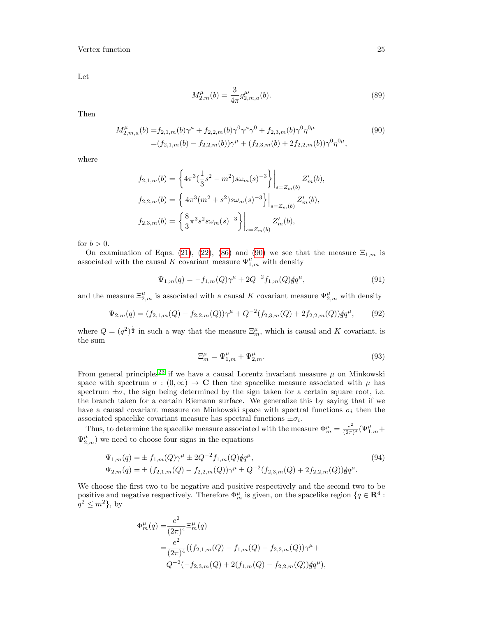Let

<span id="page-24-0"></span>
$$
M_{2,m}^{\mu}(b) = \frac{3}{4\pi} g_{2,m,a}^{\mu}(b).
$$
 (89)

Then

$$
M_{2,m,a}^{\mu}(b) = f_{2,1,m}(b)\gamma^{\mu} + f_{2,2,m}(b)\gamma^{0}\gamma^{\mu}\gamma^{0} + f_{2,3,m}(b)\gamma^{0}\eta^{0\mu}
$$
  
=  $(f_{2,1,m}(b) - f_{2,2,m}(b))\gamma^{\mu} + (f_{2,3,m}(b) + 2f_{2,2,m}(b))\gamma^{0}\eta^{0\mu}$ , (90)

where

$$
f_{2,1,m}(b) = \left\{ 4\pi^3 \left( \frac{1}{3} s^2 - m^2 \right) s \omega_m(s)^{-3} \right\} \Big|_{s = Z_m(b)} Z'_m(b),
$$
  
\n
$$
f_{2,2,m}(b) = \left\{ 4\pi^3 (m^2 + s^2) s \omega_m(s)^{-3} \right\} \Big|_{s = Z_m(b)} Z'_m(b),
$$
  
\n
$$
f_{2,3,m}(b) = \left\{ \frac{8}{3} \pi^3 s^2 s \omega_m(s)^{-3} \right\} \Big|_{s = Z_m(b)} Z'_m(b),
$$

for  $b > 0$ .

On examination of Eqns. [\(21\)](#page-6-1), [\(22\)](#page-7-3), [\(86\)](#page-23-0) and [\(90\)](#page-24-0) we see that the measure  $\Xi_{1,m}$  is associated with the causal K covariant measure  $\Psi_{1,m}^{\mu}$  with density

$$
\Psi_{1,m}(q) = -f_{1,m}(Q)\gamma^{\mu} + 2Q^{-2}f_{1,m}(Q)\rlap/qq^{\mu},\tag{91}
$$

and the measure  $\Xi_{2,m}^{\mu}$  is associated with a causal K covariant measure  $\Psi_{2,m}^{\mu}$  with density

$$
\Psi_{2,m}(q) = (f_{2,1,m}(Q) - f_{2,2,m}(Q))\gamma^{\mu} + Q^{-2}(f_{2,3,m}(Q) + 2f_{2,2,m}(Q))\nparallel q^{\mu},
$$
\n(92)

where  $Q = (q^2)^{\frac{1}{2}}$  in such a way that the measure  $\Xi_m^{\mu}$ , which is causal and K covariant, is the sum

$$
\Xi_m^{\mu} = \Psi_{1,m}^{\mu} + \Psi_{2,m}^{\mu}.
$$
\n(93)

From general principles<sup>[23](#page-35-22)</sup> if we have a causal Lorentz invariant measure  $\mu$  on Minkowski space with spectrum  $\sigma : (0, \infty) \to \mathbb{C}$  then the spacelike measure associated with  $\mu$  has spectrum  $\pm \sigma$ , the sign being determined by the sign taken for a certain square root, i.e. the branch taken for a certain Riemann surface. We generalize this by saying that if we have a causal covariant measure on Minkowski space with spectral functions  $\sigma_i$  then the associated spacelike covariant measure has spectral functions  $\pm \sigma_i$ .

Thus, to determine the spacelike measure associated with the measure  $\Phi_m^{\mu} = \frac{e^2}{(2\pi)^2}$  $\frac{e^2}{(2\pi)^4}(\Psi_{1,m}^{\mu}+$  $\Psi_{2,m}^{\mu}$ ) we need to choose four signs in the equations

$$
\Psi_{1,m}(q) = \pm f_{1,m}(Q)\gamma^{\mu} \pm 2Q^{-2}f_{1,m}(Q)qq^{\mu},
$$
  
\n
$$
\Psi_{2,m}(q) = \pm (f_{2,1,m}(Q) - f_{2,2,m}(Q))\gamma^{\mu} \pm Q^{-2}(f_{2,3,m}(Q) + 2f_{2,2,m}(Q))qq^{\mu}.
$$
\n(94)

We choose the first two to be negative and positive respectively and the second two to be positive and negative respectively. Therefore  $\Phi_m^{\mu}$  is given, on the spacelike region  $\{q \in \mathbb{R}^4 :$  $q^2 \leq m^2$ , by

$$
\Phi_{m}^{\mu}(q) = \frac{e^{2}}{(2\pi)^{4}} \Xi_{m}^{\mu}(q)
$$
  
= 
$$
\frac{e^{2}}{(2\pi)^{4}} ((f_{2,1,m}(Q) - f_{1,m}(Q) - f_{2,2,m}(Q))\gamma^{\mu} +
$$
  

$$
Q^{-2}(-f_{2,3,m}(Q) + 2(f_{1,m}(Q) - f_{2,2,m}(Q))\cancel{q}q^{\mu}),
$$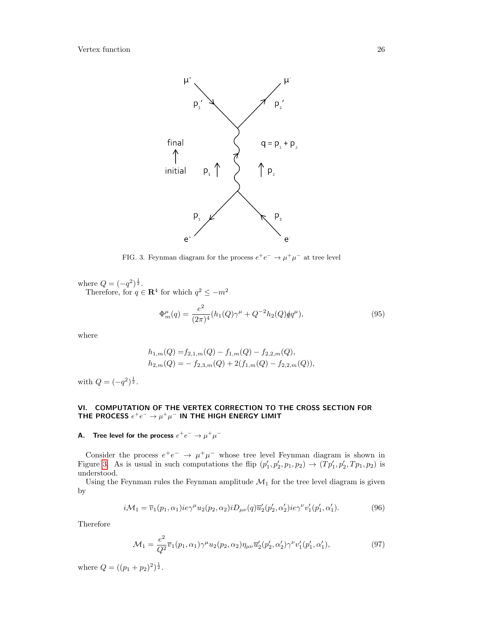

<span id="page-25-2"></span>FIG. 3. Feynman diagram for the process  $e^+e^- \to \mu^+\mu^-$  at tree level

where  $Q = (-q^2)^{\frac{1}{2}}$ . Therefore, for  $q \in \mathbf{R}^4$  for which  $q^2 \leq -m^2$ 

$$
\Phi_m^{\mu}(q) = \frac{e^2}{(2\pi)^4} (h_1(Q)\gamma^{\mu} + Q^{-2}h_2(Q)\hat{q}q^{\mu}), \tag{95}
$$

where

$$
h_{1,m}(Q) = f_{2,1,m}(Q) - f_{1,m}(Q) - f_{2,2,m}(Q),
$$
  
\n
$$
h_{2,m}(Q) = - f_{2,3,m}(Q) + 2(f_{1,m}(Q) - f_{2,2,m}(Q)),
$$

with  $Q = (-q^2)^{\frac{1}{2}}$ .

# <span id="page-25-0"></span>VI. COMPUTATION OF THE VERTEX CORRECTION TO THE CROSS SECTION FOR THE PROCESS  $e^+e^-\rightarrow \mu^+\mu^-$  in the High energy limit

## <span id="page-25-1"></span>A. Tree level for the process  $e^+e^-\rightarrow \mu^+\mu^-$

Consider the process  $e^+e^- \rightarrow \mu^+\mu^-$  whose tree level Feynman diagram is shown in Figure [3.](#page-25-2) As is usual in such computations the flip  $(p'_1, p'_2, p_1, p_2) \rightarrow (Tp'_1, p'_2, Tp_1, p_2)$  is understood.

Using the Feynman rules the Feynman amplitude  $\mathcal{M}_1$  for the tree level diagram is given by

$$
i\mathcal{M}_1 = \overline{v}_1(p_1, \alpha_1) i e \gamma^{\mu} u_2(p_2, \alpha_2) i D_{\mu\nu}(q) \overline{u}'_2(p'_2, \alpha'_2) i e \gamma^{\nu} v'_1(p'_1, \alpha'_1).
$$
 (96)

Therefore

$$
\mathcal{M}_1 = \frac{e^2}{Q^2} \overline{v}_1(p_1, \alpha_1) \gamma^\mu u_2(p_2, \alpha_2) \eta_{\mu\nu} \overline{u}'_2(p'_2, \alpha'_2) \gamma^\nu v'_1(p'_1, \alpha'_1), \tag{97}
$$

where  $Q = ((p_1 + p_2)^2)^{\frac{1}{2}}$ .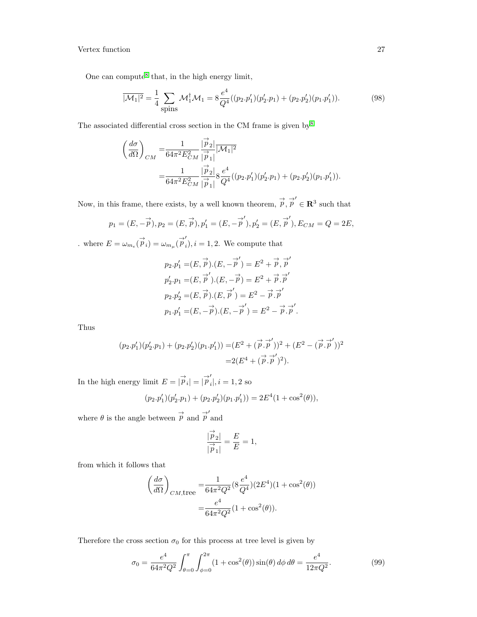One can compute<sup>[8](#page-35-8)</sup> that, in the high energy limit,

$$
\overline{|\mathcal{M}_1|^2} = \frac{1}{4} \sum_{\text{spins}} \mathcal{M}_1^{\dagger} \mathcal{M}_1 = 8 \frac{e^4}{Q^4} ((p_2 \cdot p_1')(p_2' \cdot p_1) + (p_2 \cdot p_2')(p_1 \cdot p_1')). \tag{98}
$$

The associated differential cross section in the CM frame is given by  $8^8$  $8^8$ 

$$
\label{eq:11} \begin{split} \left(\frac{d\sigma}{d\Omega}\right)_{CM}=&\frac{1}{64\pi^2E_{CM}^2}\frac{|\stackrel{\rightarrow}p_2|}{|\stackrel{\rightarrow}p_1|}|\overline{\mathcal{M}_1}|^2\\ =&\frac{1}{64\pi^2E_{CM}^2}\frac{|\stackrel{\rightarrow}p_2|}{|\stackrel{\rightarrow}p_1|}8\frac{e^4}{Q^4}((p_2.p_1')(p_2'.p_1)+(p_2.p_2')(p_1.p_1')). \end{split}
$$

Now, in this frame, there exists, by a well known theorem,  $\vec{p}, \vec{p}' \in \mathbb{R}^3$  such that

$$
p_1 = (E, -\vec{p}), p_2 = (E, \vec{p}), p'_1 = (E, -\vec{p}'), p'_2 = (E, \vec{p}'), E_{CM} = Q = 2E,
$$

where  $E = \omega_{m_e}(\vec{\vec{p}}_i) = \omega_{m_\mu}(\vec{\vec{p}}_i)$  $i, i = 1, 2$ . We compute that

$$
p_2 \cdot p_1' = (E, \vec{p}) \cdot (E, -\vec{p}') = E^2 + \vec{p}, \vec{p}'
$$
  
\n
$$
p_2' \cdot p_1 = (E, \vec{p}') \cdot (E, -\vec{p}) = E^2 + \vec{p} \cdot \vec{p}'
$$
  
\n
$$
p_2 \cdot p_2' = (E, \vec{p}) \cdot (E, \vec{p}') = E^2 - \vec{p} \cdot \vec{p}'
$$
  
\n
$$
p_1 \cdot p_1' = (E, -\vec{p}) \cdot (E, -\vec{p}') = E^2 - \vec{p} \cdot \vec{p}'.
$$

Thus

$$
(p_2 \cdot p_1')(p_2' \cdot p_1) + (p_2 \cdot p_2')(p_1 \cdot p_1')) = (E^2 + (\vec{p} \cdot \vec{p}')^2 + (E^2 - (\vec{p} \cdot \vec{p}')^2)
$$
  
= 2(E<sup>4</sup> + (\vec{p} \cdot \vec{p}')^2).

In the high energy limit  $E = |\vec{p}_i| = |\vec{p}_i'|$  $_i$ ,  $i = 1, 2$  so

$$
(p_2 \cdot p_1')(p_2' \cdot p_1) + (p_2 \cdot p_2')(p_1 \cdot p_1') = 2E^4(1 + \cos^2(\theta)),
$$

where  $\theta$  is the angle between  $\stackrel{\rightarrow}{p}$  and  $\stackrel{\rightarrow}{p}'$  and

$$
\frac{|\stackrel{\rightarrow}{p}_2|}{|\stackrel{\rightarrow}{p}_1|} = \frac{E}{E} = 1,
$$

from which it follows that

$$
\left(\frac{d\sigma}{d\Omega}\right)_{CM, \text{tree}} = \frac{1}{64\pi^2 Q^2} (8\frac{e^4}{Q^4})(2E^4)(1 + \cos^2(\theta))
$$

$$
= \frac{e^4}{64\pi^2 Q^2} (1 + \cos^2(\theta)).
$$

Therefore the cross section  $\sigma_0$  for this process at tree level is given by

$$
\sigma_0 = \frac{e^4}{64\pi^2 Q^2} \int_{\theta=0}^{\pi} \int_{\phi=0}^{2\pi} (1 + \cos^2(\theta)) \sin(\theta) d\phi d\theta = \frac{e^4}{12\pi Q^2}.
$$
 (99)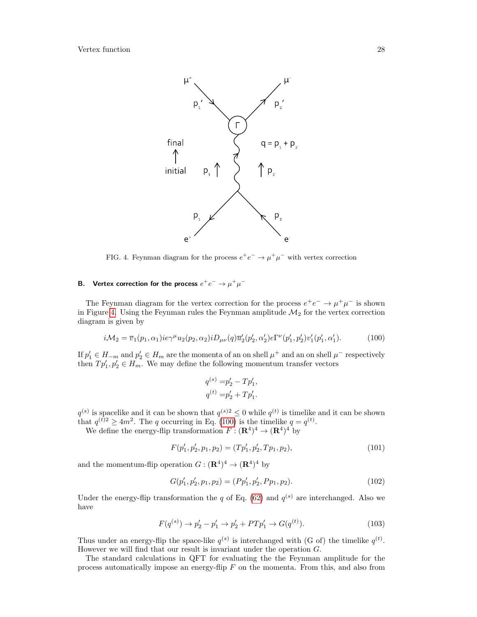

<span id="page-27-1"></span>FIG. 4. Feynman diagram for the process  $e^+e^- \rightarrow \mu^+\mu^-$  with vertex correction

## <span id="page-27-0"></span>B. Vertex correction for the process  $e^+e^-\rightarrow \mu^+\mu^-$

The Feynman diagram for the vertex correction for the process  $e^+e^- \to \mu^+\mu^-$  is shown in Figure [4.](#page-27-1) Using the Feynman rules the Feynman amplitude  $\mathcal{M}_2$  for the vertex correction diagram is given by

<span id="page-27-2"></span>
$$
i\mathcal{M}_2 = \overline{v}_1(p_1, \alpha_1) i e \gamma^\mu u_2(p_2, \alpha_2) i D_{\mu\nu}(q) \overline{u}'_2(p'_2, \alpha'_2) e \Gamma^\nu(p'_1, p'_2) v'_1(p'_1, \alpha'_1).
$$
(100)

If  $p'_1 \in H_{-m}$  and  $p'_2 \in H_m$  are the momenta of an on shell  $\mu^+$  and an on shell  $\mu^-$  respectively then  $Tp'_1, p'_2 \in H_m$ . We may define the following momentum transfer vectors

$$
q^{(s)} = p'_2 - T p'_1,
$$
  

$$
q^{(t)} = p'_2 + T p'_1.
$$

 $q^{(s)}$  is spacelike and it can be shown that  $q^{(s)} \leq 0$  while  $q^{(t)}$  is timelike and it can be shown that  $q^{(t)} \ge 4m^2$ . The q occurring in Eq. [\(100\)](#page-27-2) is the timelike  $q = q^{(t)}$ .

We define the energy-flip transformation  $F: (\mathbf{R}^4)^4 \to (\mathbf{R}^4)^4$  by

$$
F(p'_1, p'_2, p_1, p_2) = (Tp'_1, p'_2, Tp_1, p_2),\tag{101}
$$

and the momentum-flip operation  $G : (\mathbf{R}^4)^4 \to (\mathbf{R}^4)^4$  by

$$
G(p'_1, p'_2, p_1, p_2) = (Pp'_1, p'_2, Pp_1, p_2). \tag{102}
$$

Under the energy-flip transformation the q of Eq. [\(62\)](#page-18-4) and  $q^{(s)}$  are interchanged. Also we have

$$
F(q^{(s)}) \to p_2' - p_1' \to p_2' + P T p_1' \to G(q^{(t)}).
$$
\n(103)

Thus under an energy-flip the space-like  $q^{(s)}$  is interchanged with (G of) the timelike  $q^{(t)}$ . However we will find that our result is invariant under the operation G.

The standard calculations in QFT for evaluating the the Feynman amplitude for the process automatically impose an energy-flip  $F$  on the momenta. From this, and also from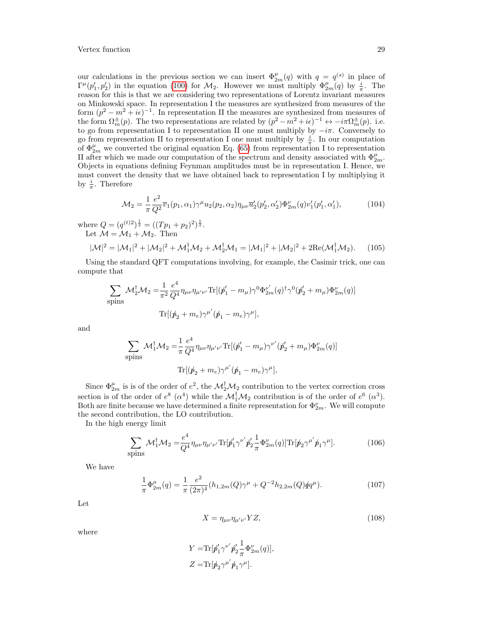our calculations in the previous section we can insert  $\Phi_{2m}^{\mu}(q)$  with  $q = q^{(s)}$  in place of  $\Gamma^{\mu}(p'_1, p'_2)$  in the equation [\(100\)](#page-27-2) for  $\mathcal{M}_2$ . However we must multiply  $\Phi^{\mu}_{2m}(q)$  by  $\frac{i}{\pi}$ . The reason for this is that we are considering two representations of Lorentz invariant measures on Minkowski space. In representation I the measures are synthesized from measures of the form  $(p^2 - m^2 + i\epsilon)^{-1}$ . In representation II the measures are synthesized from measures of the form  $\Omega_m^{\pm}(p)$ . The two representations are related by  $(p^2 - m^2 + i\epsilon)^{-1} \leftrightarrow -i\pi \Omega_m^{\pm}(p)$ . i.e. to go from representation I to representation II one must multiply by  $-i\pi$ . Conversely to go from representation II to representation I one must multiply by  $\frac{i}{\pi}$ . In our computation of  $\Phi_{2m}^{\mu}$  we converted the original equation Eq. [\(65\)](#page-19-1) from representation I to representation II after which we made our computation of the spectrum and density associated with  $\Phi_{2m}^{\mu}$ . Objects in equations defining Feynman amplitudes must be in representation I. Hence, we must convert the density that we have obtained back to representation I by multiplying it by  $\frac{i}{\pi}$ . Therefore

$$
\mathcal{M}_2 = \frac{1}{\pi} \frac{e^2}{Q^2} \overline{v}_1(p_1, \alpha_1) \gamma^\mu u_2(p_2, \alpha_2) \eta_{\mu\nu} \overline{u}'_2(p'_2, \alpha'_2) \Phi_{2m}^\nu(q) v'_1(p'_1, \alpha'_1), \tag{104}
$$

where  $Q = (q^{(t)2})^{\frac{1}{2}} = ((Tp_1 + p_2)^2)^{\frac{1}{2}}$ . Let  $\mathcal{M} = \mathcal{M}_1 + \mathcal{M}_2$ . Then

$$
|\mathcal{M}|^2 = |\mathcal{M}_1|^2 + |\mathcal{M}_2|^2 + \mathcal{M}_1^{\dagger} \mathcal{M}_2 + \mathcal{M}_2^{\dagger} \mathcal{M}_1 = |\mathcal{M}_1|^2 + |\mathcal{M}_2|^2 + 2\text{Re}(\mathcal{M}_1^{\dagger} \mathcal{M}_2). \tag{105}
$$

Using the standard QFT computations involving, for example, the Casimir trick, one can compute that

$$
\sum_{\text{spins}} \mathcal{M}_{2}^{\dagger} \mathcal{M}_{2} = \frac{1}{\pi^{2}} \frac{e^{4}}{Q^{4}} \eta_{\mu\nu} \eta_{\mu'\nu'} \text{Tr}[(\rlap{\,/}p_{1}' - m_{\mu}) \gamma^{0} \Phi_{2m}^{\nu'}(q)^{\dagger} \gamma^{0} (\rlap{\,/}p_{2}' + m_{\mu}) \Phi_{2m}^{\nu}(q)]
$$
  
\n
$$
\text{Tr}[(\rlap{\,/}p_{2} + m_{e}) \gamma^{\mu'}(\rlap{\,/}p_{1} - m_{e}) \gamma^{\mu}],
$$

and

$$
\sum_{\text{spins}} \mathcal{M}_1^{\dagger} \mathcal{M}_2 = \frac{1}{\pi} \frac{e^4}{Q^4} \eta_{\mu\nu} \eta_{\mu'\nu'} \text{Tr}[(\rlap/p'_1 - m_\mu) \gamma^{\nu'} (\rlap/p'_2 + m_\mu) \Phi_{2m}^{\nu}(q)]
$$
  

$$
\text{Tr}[(\rlap/p_2 + m_e) \gamma^{\mu'} (\rlap/p_1 - m_e) \gamma^{\mu}],
$$

Since  $\Phi_{2m}^{\mu}$  is is of the order of  $e^2$ , the  $\mathcal{M}_2^{\dagger} \mathcal{M}_2$  contribution to the vertex correction cross section is of the order of  $e^8$  ( $\alpha^4$ ) while the  $\mathcal{M}_1^{\dagger} \mathcal{M}_2$  contribution is of the order of  $e^6$  ( $\alpha^3$ ). Both are finite because we have determined a finite representation for  $\Phi_{2m}^{\nu}$ . We will compute the second contribution, the LO contribution.

In the high energy limit

$$
\sum_{\text{spins}} \mathcal{M}_1^{\dagger} \mathcal{M}_2 = \frac{e^4}{Q^4} \eta_{\mu\nu} \eta_{\mu'\nu'} \text{Tr}[\rlap/p_1' \gamma^{\nu'} \rlap/p_2' \frac{1}{\pi} \Phi_{2m}^{\nu}(q)] \text{Tr}[\rlap/p_2 \gamma^{\mu'} \rlap/p_1 \gamma^{\mu}]. \tag{106}
$$

We have

$$
\frac{1}{\pi} \Phi_{2m}^{\mu}(q) = \frac{1}{\pi} \frac{e^2}{(2\pi)^4} (h_{1,2m}(Q)\gamma^{\mu} + Q^{-2}h_{2,2m}(Q)\dot{q}q^{\mu}).
$$
\n(107)

Let

$$
X = \eta_{\mu\nu}\eta_{\mu'\nu'}YZ,\tag{108}
$$

where

$$
\begin{split} Y=&\text{Tr}[\not\! p_1' \gamma^{\nu'} \not\! p_2' \frac{1}{\pi} \Phi_{2m}^\nu(q)],\\ Z=&\text{Tr}[\not\! p_2 \gamma^{\mu'} \not\! p_1 \gamma^\mu]. \end{split}
$$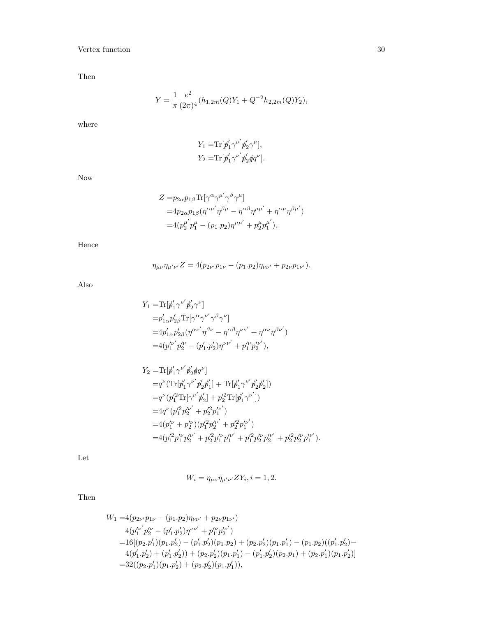Then

$$
Y = \frac{1}{\pi} \frac{e^2}{(2\pi)^4} (h_{1,2m}(Q)Y_1 + Q^{-2}h_{2,2m}(Q)Y_2),
$$

where

$$
Y_1 = \text{Tr}[\not\!{p}'_1 \gamma^{\nu'} \not\!{p}'_2 \gamma^{\nu}],
$$
  
\n
$$
Y_2 = \text{Tr}[\not\!{p}'_1 \gamma^{\nu'} \not\!{p}'_2 \not\!{q} q^{\nu}].
$$

Now

$$
Z = p_{2\alpha}p_{1\beta} \text{Tr}[\gamma^{\alpha}\gamma^{\mu'}\gamma^{\beta}\gamma^{\mu}]
$$
  
=  $4p_{2\alpha}p_{1\beta}(\eta^{\alpha\mu'}\eta^{\beta\mu} - \eta^{\alpha\beta}\eta^{\mu\mu'} + \eta^{\alpha\mu}\eta^{\beta\mu'})$   
=  $4(p_2^{\mu'}p_1^{\mu} - (p_1 \cdot p_2)\eta^{\mu\mu'} + p_2^{\mu}p_1^{\mu'}).$ 

Hence

$$
\eta_{\mu\nu}\eta_{\mu'\nu'}Z = 4(p_{2\nu'}p_{1\nu} - (p_1.p_2)\eta_{\nu\nu'} + p_{2\nu}p_{1\nu'}).
$$

Also

$$
Y_1 = \text{Tr}[\not p_1' \gamma^{\nu'} \not p_2' \gamma^{\nu'}]
$$
  
\n
$$
= p_{1\alpha}' p_{2\beta}' \text{Tr}[\gamma^{\alpha} \gamma^{\nu'} \gamma^{\beta} \gamma^{\nu}]
$$
  
\n
$$
= 4 p_{1\alpha}' p_{2\beta}' (\eta^{\alpha \nu'} \eta^{\beta \nu} - \eta^{\alpha \beta} \eta^{\nu \nu'} + \eta^{\alpha \nu} \eta^{\beta \nu'})
$$
  
\n
$$
= 4 (p_1^{\nu'} p_2^{\nu} - (p_1', p_2') \eta^{\nu \nu'} + p_1^{\nu} p_2^{\nu \nu'}),
$$

$$
\begin{split} Y_2=&\text{Tr}[\not p_1'\gamma^{\nu'}\not p_2'\not q q^{\nu}]\\ =&q^{\nu}(\text{Tr}[\not p_1'\gamma^{\nu'}\not p_2'\not p_1']+\text{Tr}[\not p_1'\gamma^{\nu'}\not p_2'\not p_2'])\\ =&q^{\nu}(p_1'^2\text{Tr}[\gamma^{\nu'}\not p_2'] +p_2'^2\text{Tr}[\not p_1'\gamma^{\nu'}])\\ =&4q^{\nu}(p_1'^2p_2'^{\nu'}+p_2'^2p_1'^{\nu'})\\ =&4(p_1''^{\nu}+p_2'^{\nu})(p_1'^2p_2'^{\nu'}+p_2'^2p_1'^{\nu'})\\ =&4(p_1'^2p_1'^{\nu}p_2'^{\nu'}+p_2'^2p_1'^{\nu}p_1'^{\nu'}+p_1'^2p_2'^{\nu}p_2'^{\nu'}+p_2'^2p_2'^{\nu}p_1'^{\nu'}).\end{split}
$$

Let

$$
W_i = \eta_{\mu\nu} \eta_{\mu'\nu'} Z Y_i, i = 1, 2.
$$

Then

$$
W_1 = 4(p_{2\nu'}p_{1\nu} - (p_1 \cdot p_2)\eta_{\nu\nu'} + p_{2\nu}p_{1\nu'})
$$
  
\n
$$
4(p_1^{\prime\nu'}p_2^{\prime\nu} - (p_1' \cdot p_2')\eta^{\nu\nu'} + p_1^{\prime\nu}p_2^{\prime\nu'})
$$
  
\n
$$
= 16[(p_2 \cdot p_1')(p_1 \cdot p_2') - (p_1' \cdot p_2')(p_1 \cdot p_2) + (p_2 \cdot p_2')(p_1 \cdot p_1') - (p_1 \cdot p_2)((p_1' \cdot p_2') -
$$
  
\n
$$
4(p_1' \cdot p_2') + (p_1' \cdot p_2')) + (p_2 \cdot p_2')(p_1 \cdot p_1') - (p_1' \cdot p_2')(p_2 \cdot p_1) + (p_2 \cdot p_1')(p_1 \cdot p_2')]
$$
  
\n
$$
= 32((p_2 \cdot p_1')(p_1 \cdot p_2') + (p_2 \cdot p_2')(p_1 \cdot p_1'))
$$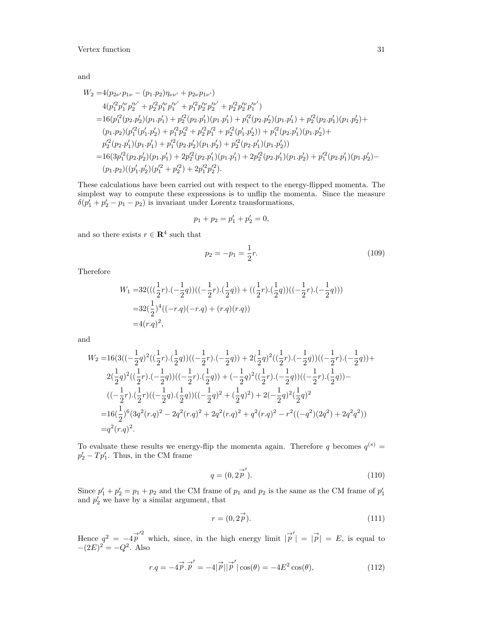and

$$
W_2 = 4(p_{2\nu'}p_{1\nu} - (p_1 \cdot p_2)\eta_{\nu\nu'} + p_{2\nu}p_{1\nu'})
$$
  
\n
$$
4(p_1'^2p_1'^{\nu'}p_2'^{\nu'} + p_2'^2p_1'^{\nu'}p_1'^{\nu'} + p_1'^2p_2'^{\nu}p_2'^{\nu'} + p_2'^2p_2'^{\nu}p_1'^{\nu'})
$$
  
\n
$$
= 16(p_1'^2(p_2 \cdot p_2')(p_1 \cdot p_1') + p_2'^2(p_2 \cdot p_1')(p_1 \cdot p_1') + p_1'^2(p_2 \cdot p_2')(p_1 \cdot p_1') + p_2'^2(p_2 \cdot p_1')(p_1 \cdot p_2') +
$$
  
\n
$$
(p_1 \cdot p_2)(p_1'^2(p_1', p_2') + p_1'^2p_2'^2 + p_2'^2p_1'^2 + p_2'^2(p_1' \cdot p_2')) + p_1'^2(p_2 \cdot p_1')(p_1 \cdot p_2') +
$$
  
\n
$$
p_2'^2(p_2 \cdot p_1')(p_1 \cdot p_1') + p_1'^2(p_2 \cdot p_2')(p_1 \cdot p_2') + p_2'^2(p_2 \cdot p_1')(p_1 \cdot p_2'))
$$
  
\n
$$
= 16(3p_1'^2(p_2 \cdot p_2')(p_1 \cdot p_1') + 2p_2'^2(p_2 \cdot p_1')(p_1 \cdot p_1') + 2p_2'^2(p_2 \cdot p_1')(p_1 \cdot p_2') + p_1'^2(p_2 \cdot p_1')(p_1 \cdot p_2') -
$$
  
\n
$$
(p_1 \cdot p_2)((p_1' \cdot p_2')(p_1'^2 + p_2'^2) + 2p_1'^2p_2'^2).
$$

These calculations have been carried out with respect to the energy-flipped momenta. The simplest way to compute these expressions is to unflip the momenta. Since the measure  $\delta(p'_1 + p'_2 - p_1 - p_2)$  is invariant under Lorentz transformations,

$$
p_1 + p_2 = p'_1 + p'_2 = 0,
$$

and so there exists  $r \in \mathbb{R}^4$  such that

$$
p_2 = -p_1 = \frac{1}{2}r.\tag{109}
$$

Therefore

$$
W_1 = 32(((\frac{1}{2}r).(-\frac{1}{2}q))((-\frac{1}{2}r).(\frac{1}{2}q)) + ((\frac{1}{2}r).(\frac{1}{2}q))((-\frac{1}{2}r).(-\frac{1}{2}q)))
$$
  
=32( $\frac{1}{2}$ )<sup>4</sup>((-r.q)(-r.q) + (r.q)(r.q))  
=4(r.q)<sup>2</sup>,

and

$$
\begin{aligned} W_2=&16(3\big((-\frac{1}{2}q)^2((\frac{1}{2}r).(\frac{1}{2}q))\big((-\frac{1}{2}r).(-\frac{1}{2}q)\big)+2(\frac{1}{2}q)^2((\frac{1}{2}r).(-\frac{1}{2}q))\big((-\frac{1}{2}r).(-\frac{1}{2}q)\big)+\\ &2(\frac{1}{2}q)^2((\frac{1}{2}r).(-\frac{1}{2}q))\big((-\frac{1}{2}r).(\frac{1}{2}q)\big)+(-\frac{1}{2}q)^2((\frac{1}{2}r).(-\frac{1}{2}q))\big((-\frac{1}{2}r).(\frac{1}{2}q)\big)-\\ &((-\frac{1}{2}r).(\frac{1}{2}r)((-\frac{1}{2}q).(\frac{1}{2}q))\big((-\frac{1}{2}q)^2+(\frac{1}{2}q)^2\big)+2(-\frac{1}{2}q)^2(\frac{1}{2}q)^2\\ =&16(\frac{1}{2})^6(3q^2(r.q)^2-2q^2(r.q)^2+2q^2(r.q)^2+q^2(r.q)^2-r^2((-q^2)(2q^2)+2q^2q^2))\\ =&q^2(r.q)^2. \end{aligned}
$$

To evaluate these results we energy-flip the momenta again. Therefore q becomes  $q^{(s)} =$  $p_2' - T p_1'$ . Thus, in the CM frame

$$
q = (0, 2\overrightarrow{p}'). \tag{110}
$$

Since  $p'_1 + p'_2 = p_1 + p_2$  and the CM frame of  $p_1$  and  $p_2$  is the same as the CM frame of  $p'_1$  and  $p'_2$  we have by a similar argument, that

$$
r = (0, 2\vec{p}).\tag{111}
$$

Hence  $q^2 = -4p^2$  which, since, in the high energy limit  $|\vec{p}'| = |\vec{p}| = E$ , is equal to  $-(2E)^2 = -Q^2$ . Also

$$
r.q = -4\vec{p}.\vec{p}' = -4|\vec{p}||\vec{p}'|\cos(\theta) = -4E^2\cos(\theta),\tag{112}
$$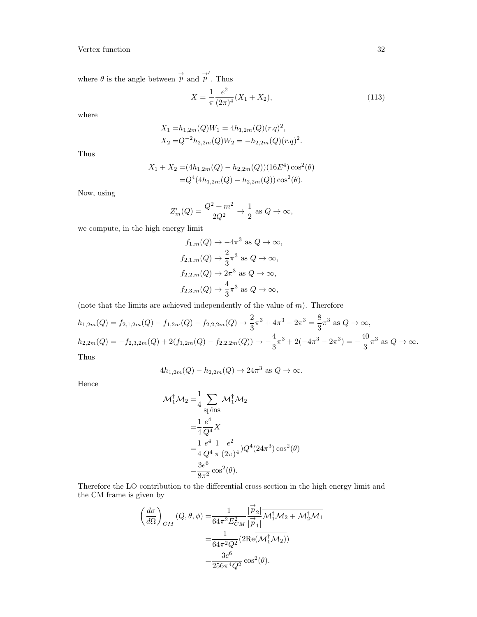where  $\theta$  is the angle between  $\overrightarrow{p}$  and  $\overrightarrow{p}'$ . Thus

$$
X = \frac{1}{\pi} \frac{e^2}{(2\pi)^4} (X_1 + X_2), \tag{113}
$$

where

$$
X_1 = h_{1,2m}(Q)W_1 = 4h_{1,2m}(Q)(r.q)^2,
$$
  
\n
$$
X_2 = Q^{-2}h_{2,2m}(Q)W_2 = -h_{2,2m}(Q)(r.q)^2.
$$

Thus

$$
X_1 + X_2 = (4h_{1,2m}(Q) - h_{2,2m}(Q))(16E^4)\cos^2(\theta)
$$
  
=  $Q^4(4h_{1,2m}(Q) - h_{2,2m}(Q))\cos^2(\theta)$ .

Now, using

$$
Z'_m(Q) = \frac{Q^2 + m^2}{2Q^2} \to \frac{1}{2} \text{ as } Q \to \infty,
$$

we compute, in the high energy limit

$$
f_{1,m}(Q) \to -4\pi^3 \text{ as } Q \to \infty,
$$
  
\n
$$
f_{2,1,m}(Q) \to \frac{2}{3}\pi^3 \text{ as } Q \to \infty,
$$
  
\n
$$
f_{2,2,m}(Q) \to 2\pi^3 \text{ as } Q \to \infty,
$$
  
\n
$$
f_{2,3,m}(Q) \to \frac{4}{3}\pi^3 \text{ as } Q \to \infty,
$$

(note that the limits are achieved independently of the value of  $m$ ). Therefore

$$
h_{1,2m}(Q) = f_{2,1,2m}(Q) - f_{1,2m}(Q) - f_{2,2,2m}(Q) \rightarrow \frac{2}{3}\pi^3 + 4\pi^3 - 2\pi^3 = \frac{8}{3}\pi^3 \text{ as } Q \to \infty,
$$
  
\n
$$
h_{2,2m}(Q) = -f_{2,3,2m}(Q) + 2(f_{1,2m}(Q) - f_{2,2,2m}(Q)) \rightarrow -\frac{4}{3}\pi^3 + 2(-4\pi^3 - 2\pi^3) = -\frac{40}{3}\pi^3 \text{ as } Q \to \infty.
$$
  
\nThus

Thus

$$
4h_{1,2m}(Q) - h_{2,2m}(Q) \to 24\pi^3 \text{ as } Q \to \infty.
$$

Hence

$$
\overline{\mathcal{M}_1^{\dagger} \mathcal{M}_2} = \frac{1}{4} \sum_{\text{spins}} \mathcal{M}_1^{\dagger} \mathcal{M}_2
$$
  
\n
$$
= \frac{1}{4} \frac{e^4}{Q^4} X
$$
  
\n
$$
= \frac{1}{4} \frac{e^4}{Q^4} \frac{1}{\pi} \frac{e^2}{(2\pi)^4} Q^4 (24\pi^3) \cos^2(\theta)
$$
  
\n
$$
= \frac{3e^6}{8\pi^2} \cos^2(\theta).
$$

Therefore the LO contribution to the differential cross section in the high energy limit and the CM frame is given by

$$
\label{eq:11} \begin{split} \left(\frac{d\sigma}{d\Omega}\right)_{CM}(Q,\theta,\phi)=&\frac{1}{64\pi^2E_{CM}^2}\frac{|\stackrel{\rightarrow}{p}_2|}{|\stackrel{\rightarrow}{p}_1|}\overline{\mathcal{M}}_1^\dagger\mathcal{M}_2+\mathcal{M}_2^\dagger\mathcal{M}_1\\ =&\frac{1}{64\pi^2Q^2}(2\mathrm{Re}(\mathcal{M}_1^\dagger\mathcal{M}_2))\\ =&\frac{3e^6}{256\pi^4Q^2}\cos^2(\theta). \end{split}
$$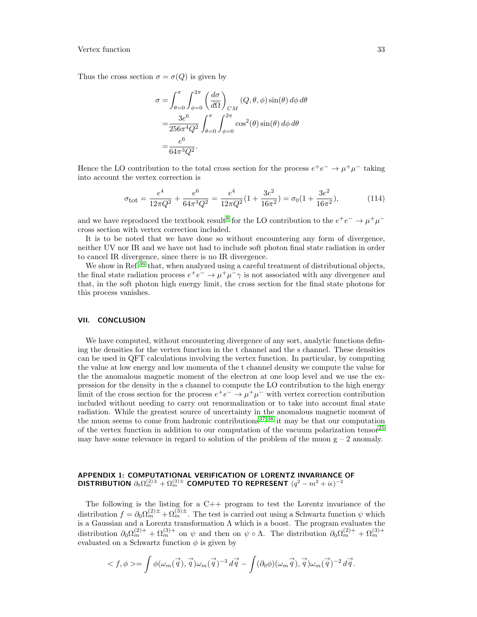Thus the cross section  $\sigma = \sigma(Q)$  is given by

$$
\sigma = \int_{\theta=0}^{\pi} \int_{\phi=0}^{2\pi} \left(\frac{d\sigma}{d\Omega}\right)_{CM} (Q, \theta, \phi) \sin(\theta) d\phi d\theta
$$

$$
= \frac{3e^6}{256\pi^4 Q^2} \int_{\theta=0}^{\pi} \int_{\phi=0}^{2\pi} \cos^2(\theta) \sin(\theta) d\phi d\theta
$$

$$
= \frac{e^6}{64\pi^3 Q^2}.
$$

Hence the LO contribution to the total cross section for the process  $e^+e^- \to \mu^+\mu^-$  taking into account the vertex correction is

$$
\sigma_{\text{tot}} = \frac{e^4}{12\pi Q^2} + \frac{e^6}{64\pi^3 Q^2} = \frac{e^4}{12\pi Q^2} (1 + \frac{3e^2}{16\pi^2}) = \sigma_0 (1 + \frac{3e^2}{16\pi^2}),\tag{114}
$$

and we have reproduced the textbook result<sup>[8](#page-35-8)</sup> for the LO contribution to the  $e^+e^- \to \mu^+\mu^$ cross section with vertex correction included.

It is to be noted that we have done so without encountering any form of divergence, neither UV nor IR and we have not had to include soft photon final state radiation in order to cancel IR divergence, since there is no IR divergence.

We show in Ref.<sup>[36](#page-35-27)</sup> that, when analyzed using a careful treatment of distributional objects, the final state radiation process  $e^+e^- \to \mu^+\mu^-\gamma$  is not associated with any divergence and that, in the soft photon high energy limit, the cross section for the final state photons for this process vanishes.

## <span id="page-32-0"></span>VII. CONCLUSION

We have computed, without encountering divergence of any sort, analytic functions defining the densities for the vertex function in the t channel and the s channel. These densities can be used in QFT calculations involving the vertex function. In particular, by computing the value at low energy and low momenta of the t channel density we compute the value for the the anomalous magnetic moment of the electron at one loop level and we use the expression for the density in the s channel to compute the LO contribution to the high energy limit of the cross section for the process  $e^+e^- \to \mu^+\mu^-$  with vertex correction contribution included without needing to carry out renormalization or to take into account final state radiation. While the greatest source of uncertainty in the anomalous magnetic moment of the muon seems to come from hadronic contributions<sup>[37,](#page-36-0)[38](#page-36-1)</sup> it may be that our computation of the vertex function in addition to our computation of the vacuum polarization tensor<sup>[25](#page-35-18)</sup> may have some relevance in regard to solution of the problem of the muon  $g - 2$  anomaly.

#### <span id="page-32-1"></span>APPENDIX 1: COMPUTATIONAL VERIFICATION OF LORENTZ INVARIANCE OF DISTRIBUTION  $\partial_0 \Omega_m^{(2)\pm} + \Omega_m^{(3)\pm}$  computed to represent  $(q^2-m^2+i\epsilon)^{-2}$

The following is the listing for a C++ program to test the Lorentz invariance of the distribution  $f = \partial_0 \Omega_m^{(2)\pm} + \Omega_m^{(3)\pm}$ . The test is carried out using a Schwartz function  $\psi$  which is a Gaussian and a Lorentz transformation  $\Lambda$  which is a boost. The program evaluates the distribution  $\partial_0 \Omega_m^{(2)+} + \Omega_m^{(3)+}$  on  $\psi$  and then on  $\psi \circ \Lambda$ . The distribution  $\partial_0 \Omega_m^{(2)+} + \Omega_m^{(3)+}$ evaluated on a Schwartz function  $\phi$  is given by

$$
\langle f, \phi \rangle = \int \phi(\omega_m(\vec{q}), \vec{q}) \omega_m(\vec{q})^{-3} d\vec{q} - \int (\partial_0 \phi)(\omega_m \vec{q}), \vec{q}) \omega_m(\vec{q})^{-2} d\vec{q}.
$$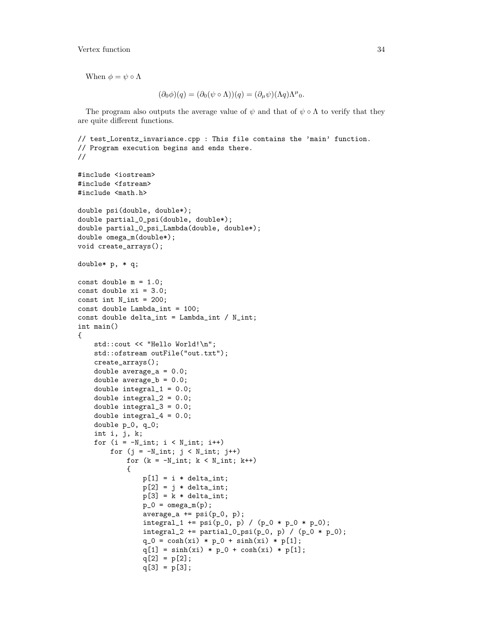When  $\phi = \psi \circ \Lambda$ 

$$
(\partial_0 \phi)(q) = (\partial_0 (\psi \circ \Lambda))(q) = (\partial_\mu \psi)(\Lambda q) \Lambda^\mu{}_0.
$$

The program also outputs the average value of  $\psi$  and that of  $\psi \circ \Lambda$  to verify that they are quite different functions.

```
// test_Lorentz_invariance.cpp : This file contains the 'main' function.
// Program execution begins and ends there.
//
#include <iostream>
#include <fstream>
#include <math.h>
double psi(double, double*);
double partial_0_psi(double, double*);
double partial_0_psi_Lambda(double, double*);
double omega_m(double*);
void create_arrays();
double* p, * q;
const double m = 1.0;
const double xi = 3.0;
const int N_int = 200;
const double Lambda_int = 100;
const double delta_int = Lambda_int / N_int;
int main()
{
    std::cout << "Hello World!\n";
    std::ofstream outFile("out.txt");
    create_arrays();
    double average_a = 0.0;
    double average_b = 0.0;
    double integral_1 = 0.0;
    double integral_2 = 0.0;
    double integral-3 = 0.0;
    double integral_4 = 0.0;
    double p_0, q_0;
    int i, j, k;
    for (i = -N_int; i < N_int; i++)for (j = -N\_int; j < N\_int; j++)for (k = -N_int; k < N_int; k++)
            {
                p[1] = i * delta(int;p[2] = j * delta\_int;p[3] = k * delta\_int;p_0 = \text{omega}_m(p);
                average_a += psi(p_0, p);integral_1 += psi(p_0, p) / (p_0 * p_0 * p_0);integral_2 += partial_0 psi(p_0, p) / (p_0 * p_0);q_0 = \cosh(xi) * p_0 + \sinh(xi) * p[1];q[1] = \sinh(xi) * p_0 + \cosh(xi) * p[1];q[2] = p[2];q[3] = p[3];
```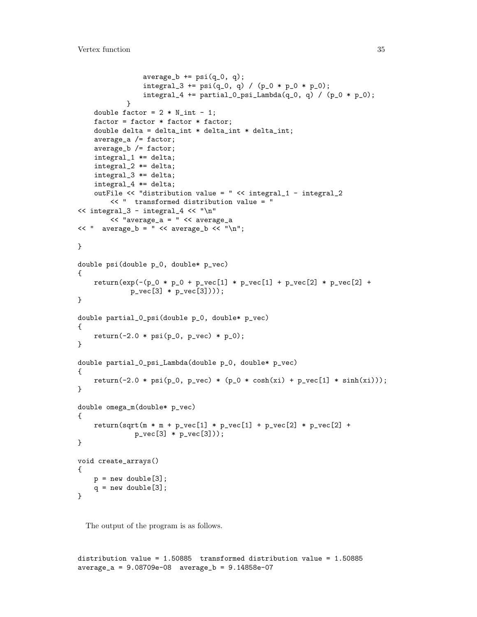```
average_b += psi(q_0, q);integral_3 += psi(q_0, q) / (p_0 * p_0 * p_0);integral_4 += partial_0_psi_Lambda(q_0, q) / (p_0 * p_0);}
    double factor = 2 * N_1int - 1;
    factor = factor * factor * factor;double delta = delta_int * delta_int * delta_int;
    average_a /= factor;
    average_b /= factor;
    integral_1 *= delta;
    integral_2 *= delta;
    integral_3 *= delta;
    integral_4 *= delta;
    outFile << "distribution value = " << integral_1 - integral_2
        << " transformed distribution value = "
<< integral_3 - integral_4 << "\n"
        << "average_a = " << average_a
<< " average_b = " << average_b << "\n";
}
double psi(double p_0, double* p_vec)
{
    return(exp(-(p_0 * p_0 + p_vec[1] * p\_vec[1] + p\_vec[2] * p\_vec[2] +p_vec[3] * p_vec[3])));
}
double partial_0_psi(double p_0, double* p_vec)
{
    return (-2.0 * psi(p_0, p_vec) * p_0);}
double partial_0_psi_Lambda(double p_0, double* p_vec)
{
   return(-2.0 * psi(p_0, p_vec) * (p_0 * cosh(xi) + p_vec[1] * sinh(xi)));
}
double omega_m(double* p_vec)
{
    return(sqrt(m * m + p\_vec[1] * p\_vec[1] + p\_vec[2] * p\_vec[2] +p_{vec}[3] * p_{vec}[3]);
}
void create_arrays()
{
    p = new double[3];q = new double[3];}
```
The output of the program is as follows.

distribution value = 1.50885 transformed distribution value = 1.50885 average\_a = 9.08709e-08 average\_b = 9.14858e-07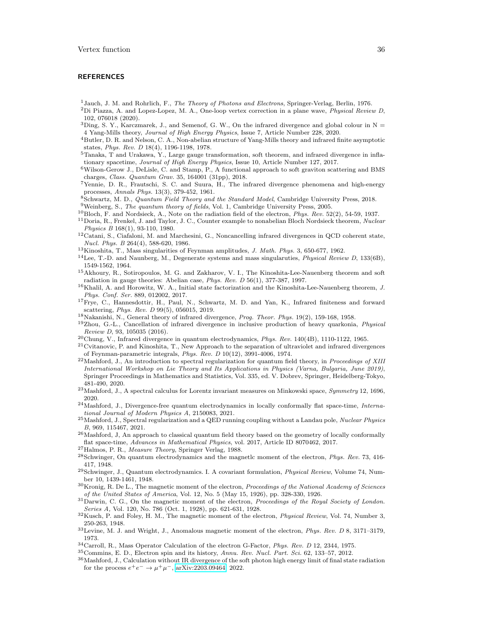#### <span id="page-35-0"></span>**REFERENCES**

<span id="page-35-1"></span> $1$ Jauch, J. M. and Rohrlich, F., *The Theory of Photons and Electrons*, Springer-Verlag, Berlin, 1976.

- <span id="page-35-2"></span> ${}^{2}$ Di Piazza, A. and Lopez-Lopez, M. A., One-loop vertex correction in a plane wave, *Physical Review D*, 102, 076018 (2020).
- <span id="page-35-3"></span> $3$ Ding, S. Y., Karczmarek, J., and Semenof, G. W., On the infrared divergence and global colour in N = 4 Yang-Mills theory, Journal of High Energy Physics, Issue 7, Article Number 228, 2020.
- <span id="page-35-4"></span><sup>4</sup>Butler, D. R. and Nelson, C. A., Non-abelian structure of Yang-Mills theory and infrared finite asymptotic states, Phys. Rev. D 18(4), 1196-1198, 1978.
- <span id="page-35-5"></span><sup>5</sup>Tanaka, T and Urakawa, Y., Large gauge transformation, soft theorem, and infrared divergence in inflationary spacetime, Journal of High Energy Physics, Issue 10, Article Number 127, 2017.
- <span id="page-35-6"></span><sup>6</sup>Wilson-Gerow J., DeLisle, C. and Stamp, P., A functional approach to soft graviton scattering and BMS charges, Class. Quantum Grav. 35, 164001 (31pp), 2018.
- <span id="page-35-7"></span><sup>7</sup>Yennie, D. R., Frautschi, S. C. and Suura, H., The infrared divergence phenomena and high-energy processes, Annals Phys. 13(3), 379-452, 1961.
- <span id="page-35-8"></span><sup>8</sup>Schwartz, M. D., Quantum Field Theory and the Standard Model, Cambridge University Press, 2018.
- <span id="page-35-9"></span><sup>9</sup>Weinberg, S., The quantum theory of fields, Vol. 1, Cambridge University Press, 2005.
- <span id="page-35-10"></span> $10B$ loch, F. and Nordsieck, A., Note on the radiation field of the electron, Phys. Rev. 52(2), 54-59, 1937.
- <span id="page-35-11"></span> $11$ Doria, R., Frenkel, J. and Taylor, J. C., Counter example to nonabelian Bloch Nordsieck theorem, Nuclear Physics B 168(1), 93-110, 1980.
- <span id="page-35-12"></span><sup>12</sup>Catani, S., Ciafaloni, M. and Marchesini, G., Noncancelling infrared divergences in QCD coherent state, Nucl. Phys. B 264(4), 588-620, 1986.
- <span id="page-35-13"></span><sup>13</sup>Kinoshita, T., Mass singularities of Feynman amplitudes, J. Math. Phys. 3, 650-677, 1962.
- $14$ Lee, T.-D. and Naunberg, M., Degenerate systems and mass singularuties, *Physical Review D*, 133(6B), 1549-1562, 1964.
- <sup>15</sup>Akhoury, R., Sotiropoulos, M. G. and Zakharov, V. I., The Kinoshita-Lee-Nauenberg theorem and soft radiation in gauge theories: Abelian case, Phys. Rev. D 56(1), 377-387, 1997.
- <sup>16</sup>Khalil, A. and Horowitz, W. A., Initial state factorization and the Kinoshita-Lee-Nauenberg theorem, J. Phys. Conf. Ser. 889, 012002, 2017.
- <span id="page-35-14"></span><sup>17</sup>Frye, C., Hannesdottir, H., Paul, N., Schwartz, M. D. and Yan, K., Infrared finiteness and forward scattering, Phys. Rev. D 99(5), 056015, 2019.
- <span id="page-35-15"></span><sup>18</sup>Nakanishi, N., General theory of infrared divergence, *Prog. Theor. Phys.* 19(2), 159-168, 1958.
- <sup>19</sup>Zhou, G.-L., Cancellation of infrared divergence in inclusive production of heavy quarkonia, Physical Review D, 93, 105035 (2016).
- <sup>20</sup>Chung, V., Infrared divergence in quantum electrodynamics, *Phys. Rev.* 140(4B), 1110-1122, 1965.

<span id="page-35-16"></span> $21$ Cvitanovic, P. and Kinoshita, T., New Approach to the separation of ultraviolet and infrared divergences of Feynman-parametric integrals, Phys. Rev. D 10(12), 3991-4006, 1974.

- <span id="page-35-17"></span><sup>22</sup>Mashford, J., An introduction to spectral regularization for quantum field theory, in Proceedings of XIII International Workshop on Lie Theory and Its Applications in Physics (Varna, Bulgaria, June 2019), Springer Proceedings in Mathematics and Statistics, Vol. 335, ed. V. Dobrev, Springer, Heidelberg-Tokyo, 481-490, 2020.
- <span id="page-35-22"></span> $^{23}$ Mashford, J., A spectral calculus for Lorentz invariant measures on Minkowski space, Symmetry 12, 1696, 2020.
- <span id="page-35-21"></span><sup>24</sup>Mashford, J., Divergence-free quantum electrodynamics in locally conformally flat space-time, *Interna*tional Journal of Modern Physics A, 2150083, 2021.
- <span id="page-35-18"></span> $^{25}$ Mashford, J., Spectral regularization and a QED running coupling without a Landau pole, Nuclear Physics B, 969, 115467, 2021.
- <span id="page-35-19"></span> $^{26}\rm{Mashford}$ , J, An approach to classical quantum field theory based on the geometry of locally conformally flat space-time, Advances in Mathematical Physics, vol. 2017, Article ID 8070462, 2017.
- <span id="page-35-20"></span><sup>27</sup>Halmos, P. R., Measure Theory, Springer Verlag, 1988.
- <span id="page-35-23"></span> $^{28}$ Schwinger, On quantum electrodynamics and the magnetlc moment of the electron, *Phys. Rev.* 73, 416-417, 1948.
- <span id="page-35-24"></span><sup>29</sup>Schwinger, J., Quantum electrodynamics. I. A covariant formulation, *Physical Review*, Volume 74, Number 10, 1439-1461, 1948.
- <span id="page-35-25"></span> $30$ Kronig, R. De L., The magnetic moment of the electron, Proceedings of the National Academy of Sciences of the United States of America, Vol. 12, No. 5 (May 15, 1926), pp. 328-330, 1926.
- $31$ Darwin, C. G., On the magnetic moment of the electron, Proceedings of the Royal Society of London. Series A, Vol. 120, No. 786 (Oct. 1, 1928), pp. 621-631, 1928.
- <sup>32</sup>Kusch, P. and Foley, H. M., The magnetic moment of the electron, Physical Review, Vol. 74, Number 3, 250-263, 1948.
- $33$ Levine, M. J. and Wright, J., Anomalous magnetic moment of the electron, *Phys. Rev. D* 8, 3171–3179, 1973.
- <sup>34</sup>Carroll, R., Mass Operator Calculation of the electron G-Factor, Phys. Rev. D 12, 2344, 1975.
- <span id="page-35-26"></span><sup>35</sup>Commins, E. D., Electron spin and its history, Annu. Rev. Nucl. Part. Sci. 62, 133–57, 2012.
- <span id="page-35-27"></span><sup>36</sup>Mashford, J., Calculation without IR divergence of the soft photon high energy limit of final state radiation for the process  $e^+e^- \to \mu^+\mu^-$ , [arXiv:2203.09464,](http://arxiv.org/abs/2203.09464) 2022.